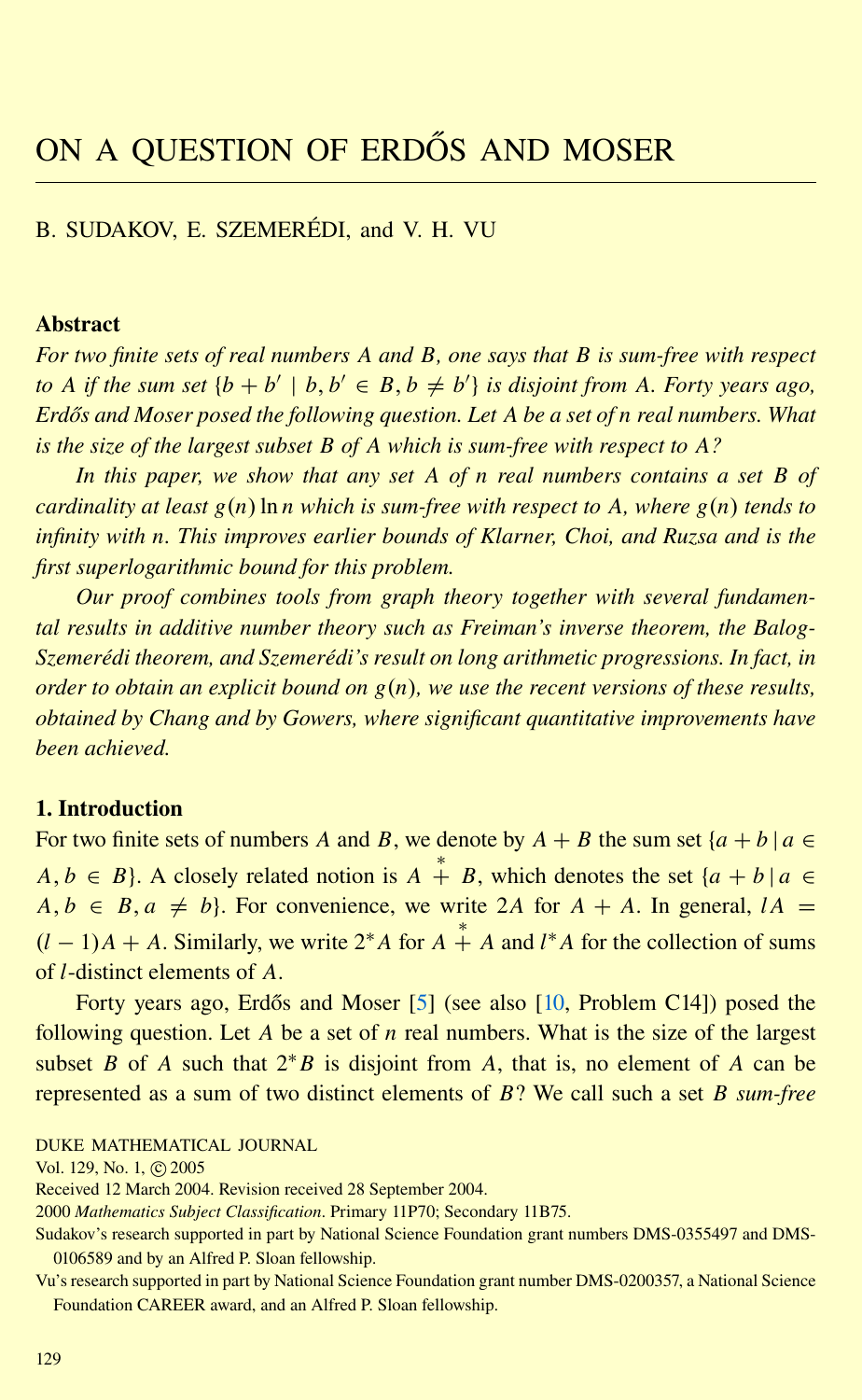<span id="page-0-0"></span>B. SUDAKOV, E. SZEMERÉDI, and V. H. VU

# Abstract

*For two finite sets of real numbers A and B, one says that B is sum-free with respect to A if the sum set*  $\{b + b' \mid b, b' \in B, b \neq b'\}$  *is disjoint from A. Forty years ago, Erdos and Moser posed the following question. Let ˝ A be a set of n real numbers. What is the size of the largest subset B of A which is sum-free with respect to A?*

*In this paper, we show that any set A of n real numbers contains a set B of cardinality at least g*(*n*)ln *n which is sum-free with respect to A, where g*(*n*) *tends to infinity with n. This improves earlier bounds of Klarner, Choi, and Ruzsa and is the first superlogarithmic bound for this problem.*

*Our proof combines tools from graph theory together with several fundamental results in additive number theory such as Freiman's inverse theorem, the Balog-Szemeredi theorem, and Szemer ´ edi's result on long arithmetic progressions. In fact, in ´ order to obtain an explicit bound on g*(*n*)*, we use the recent versions of these results, obtained by Chang and by Gowers, where significant quantitative improvements have been achieved.*

# 1. Introduction

For two finite sets of numbers *A* and *B*, we denote by  $A + B$  the sum set  $\{a + b \mid a \in A\}$  $A, b \in B$ . A closely related notion is  $A \stackrel{*}{+} B$ , which denotes the set  $\{a + b \mid a \in A\}$  $A, b \in B, a \neq b$ . For convenience, we write 2*A* for  $A + A$ . In general,  $IA =$  $(l-1)A + A$ . Similarly, we write  $2*A$  for  $A^* + A$  and  $l^*A$  for the collection of sums of *l*-distinct elements of *A*.

Forty years ago, Erdős and Moser [[5\]](#page-25-0) (see also [\[10,](#page-25-0) Problem C14]) posed the following question. Let *A* be a set of *n* real numbers. What is the size of the largest subset *B* of *A* such that  $2*B$  is disjoint from *A*, that is, no element of *A* can be represented as a sum of two distinct elements of *B*? We call such a set *B sum-free*

DUKE MATHEMATICAL JOURNAL

Vol. 129, No. 1, © 2005

Received 12 March 2004. Revision received 28 September 2004.

2000 *Mathematics Subject Classification*. Primary 11P70; Secondary 11B75.

Vu's research supported in part by National Science Foundation grant number DMS-0200357, a National Science Foundation CAREER award, and an Alfred P. Sloan fellowship.

Sudakov's research supported in part by National Science Foundation grant numbers DMS-0355497 and DMS-0106589 and by an Alfred P. Sloan fellowship.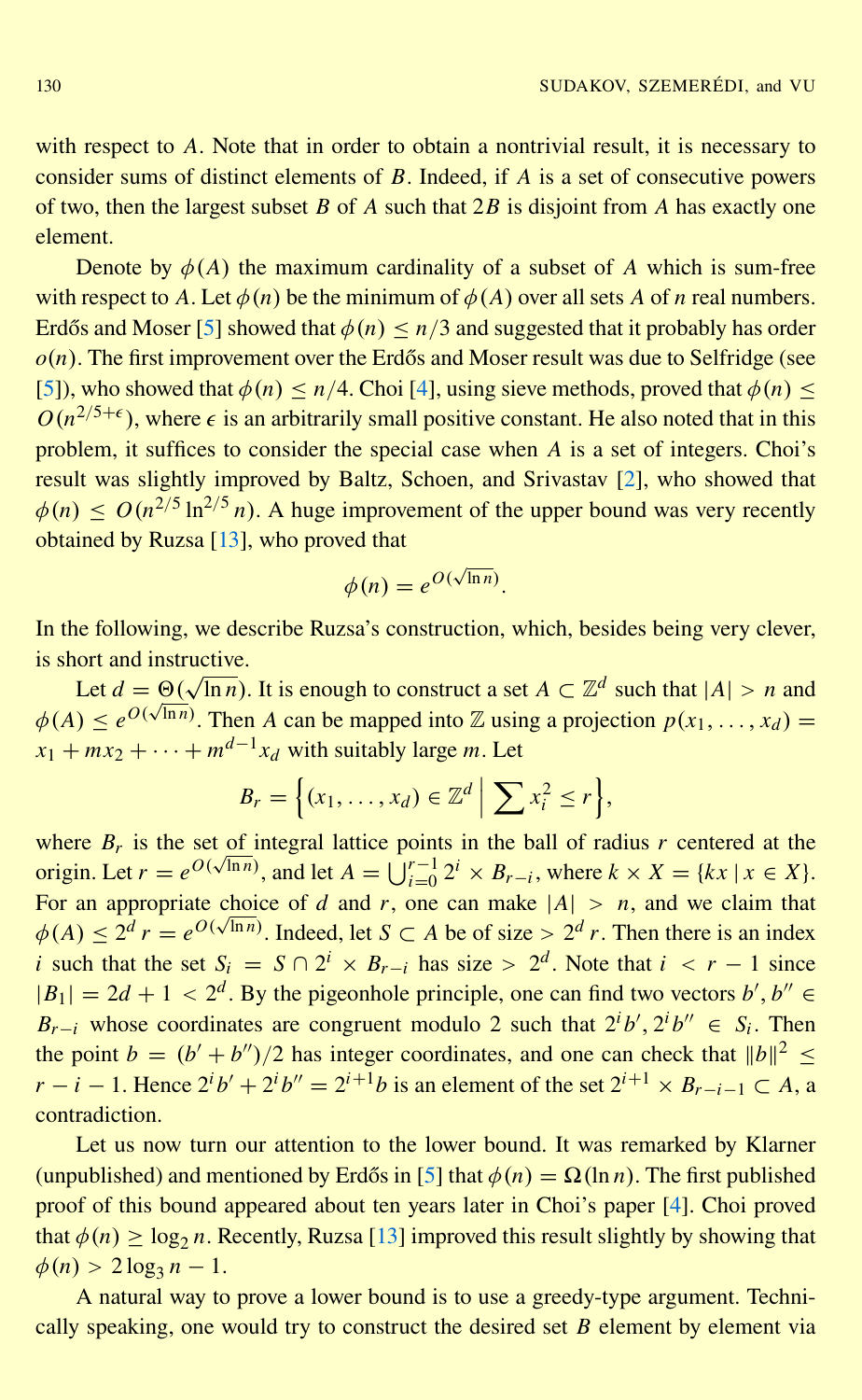<span id="page-1-0"></span>with respect to *A*. Note that in order to obtain a nontrivial result, it is necessary to consider sums of distinct elements of *B*. Indeed, if *A* is a set of consecutive powers of two, then the largest subset *B* of *A* such that 2*B* is disjoint from *A* has exactly one element.

Denote by  $\phi(A)$  the maximum cardinality of a subset of *A* which is sum-free with respect to *A*. Let  $\phi(n)$  be the minimum of  $\phi(A)$  over all sets *A* of *n* real numbers. Erdős and Moser [[5\]](#page-25-0) showed that  $\phi(n) \leq n/3$  and suggested that it probably has order  $o(n)$ . The first improvement over the Erdős and Moser result was due to Selfridge (see [\[5\]](#page-25-0)), who showed that  $\phi(n) \le n/4$ . Choi [\[4\]](#page-25-0), using sieve methods, proved that  $\phi(n) \le$  $O(n^{2/5+\epsilon})$ , where  $\epsilon$  is an arbitrarily small positive constant. He also noted that in this problem, it suffices to consider the special case when *A* is a set of integers. Choi's result was slightly improved by Baltz, Schoen, and Srivastav [\[2\]](#page-25-0), who showed that  $\phi(n) \leq O(n^{2/5} \ln^{2/5} n)$ . A huge improvement of the upper bound was very recently obtained by Ruzsa [\[13\]](#page-25-0), who proved that

$$
\phi(n) = e^{O(\sqrt{\ln n})}.
$$

In the following, we describe Ruzsa's construction, which, besides being very clever, is short and instructive.

Let  $d = \Theta(\sqrt{\ln n})$ . It is enough to construct a set  $A \subset \mathbb{Z}^d$  such that  $|A| > n$  and  $\phi(A) \leq e^{O(\sqrt{\ln n})}$ . Then *A* can be mapped into *Z* using a projection  $p(x_1, \ldots, x_d)$  =  $x_1 + mx_2 + \cdots + m^{d-1}x_d$  with suitably large *m*. Let

$$
B_r = \left\{ (x_1, \ldots, x_d) \in \mathbb{Z}^d \mid \sum x_i^2 \leq r \right\},\
$$

where  $B_r$  is the set of integral lattice points in the ball of radius *r* centered at the origin. Let  $r = e^{O(\sqrt{\ln n})}$ , and let  $A = \bigcup_{i=0}^{r-1} 2^i \times B_{r-i}$ , where  $k \times X = \{kx \mid x \in X\}$ . For an appropriate choice of *d* and *r*, one can make  $|A| > n$ , and we claim that  $\phi(A) \leq 2^d r = e^{O(\sqrt{\ln n})}$ . Indeed, let  $S \subset A$  be of size >  $2^d r$ . Then there is an index *i* such that the set  $S_i = S \cap 2^i \times B_{r-i}$  has size >  $2^d$ . Note that  $i \leq r-1$  since  $|B_1| = 2d + 1 < 2^d$ . By the pigeonhole principle, one can find two vectors *b'*, *b''*  $\in$ *B*<sub>*r*−*i*</sub> whose coordinates are congruent modulo 2 such that  $2^{i}b'$ ,  $2^{i}b'' \in S_i$ . Then the point  $b = (b' + b'')/2$  has integer coordinates, and one can check that  $||b||^2 \le$ *r* − *i* − 1. Hence  $2^{i}b' + 2^{i}b'' = 2^{i+1}b$  is an element of the set  $2^{i+1} \times B_{r-i-1} \subset A$ , a contradiction.

Let us now turn our attention to the lower bound. It was remarked by Klarner (unpublished) and mentioned by Erdős in [[5\]](#page-25-0) that  $\phi(n) = \Omega(\ln n)$ . The first published proof of this bound appeared about ten years later in Choi's paper [\[4\]](#page-25-0). Choi proved that  $\phi(n) \ge \log_2 n$ . Recently, Ruzsa [\[13\]](#page-25-0) improved this result slightly by showing that  $\phi(n) > 2 \log_3 n - 1.$ 

A natural way to prove a lower bound is to use a greedy-type argument. Technically speaking, one would try to construct the desired set *B* element by element via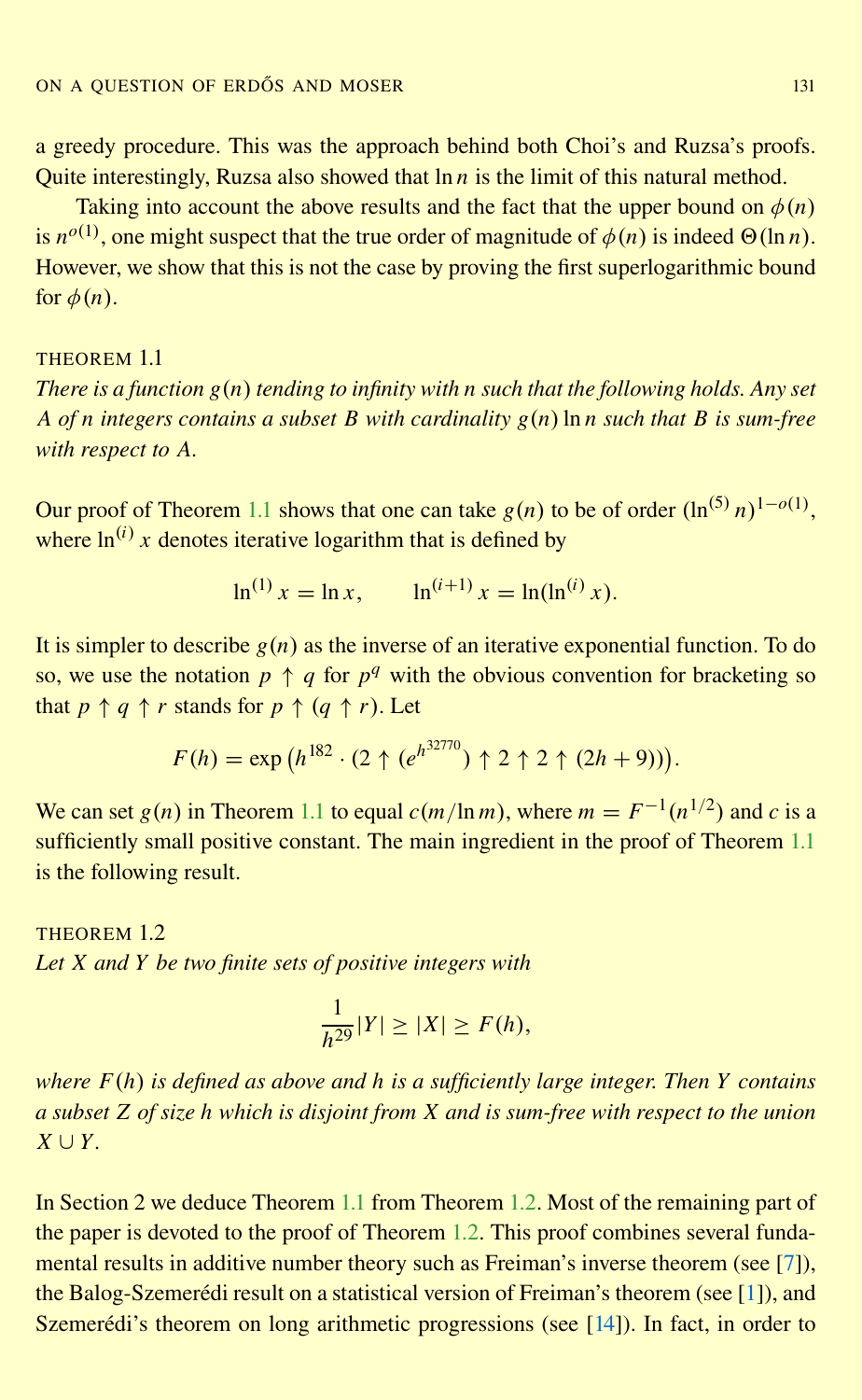<span id="page-2-0"></span>a greedy procedure. This was the approach behind both Choi's and Ruzsa's proofs. Quite interestingly, Ruzsa also showed that ln *n* is the limit of this natural method.

Taking into account the above results and the fact that the upper bound on  $\phi(n)$ is  $n^{o(1)}$ , one might suspect that the true order of magnitude of  $\phi(n)$  is indeed  $\Theta(\ln n)$ . However, we show that this is not the case by proving the first superlogarithmic bound for  $\phi(n)$ .

# THEOREM 1.1

*There is a function g*(*n*) *tending to infinity with n such that the following holds. Any set A of n integers contains a subset B with cardinality g*(*n*)ln *n such that B is sum-free with respect to A.*

Our proof of Theorem 1.1 shows that one can take  $g(n)$  to be of order  $(\ln^{(5)} n)^{1-o(1)}$ , where  $\ln^{(i)} x$  denotes iterative logarithm that is defined by

$$
\ln^{(1)} x = \ln x, \qquad \ln^{(i+1)} x = \ln(\ln^{(i)} x).
$$

It is simpler to describe  $g(n)$  as the inverse of an iterative exponential function. To do so, we use the notation  $p \uparrow q$  for  $p^q$  with the obvious convention for bracketing so that  $p \uparrow q \uparrow r$  stands for  $p \uparrow (q \uparrow r)$ . Let

$$
F(h) = \exp (h^{182} \cdot (2 \uparrow (e^{h^{32770}}) \uparrow 2 \uparrow 2 \uparrow (2h+9))).
$$

We can set  $g(n)$  in Theorem 1.1 to equal  $c(m/\ln m)$ , where  $m = F^{-1}(n^{1/2})$  and  $c$  is a sufficiently small positive constant. The main ingredient in the proof of Theorem 1.1 is the following result.

THEOREM 1.2 *Let X and Y be two finite sets of positive integers with*

$$
\frac{1}{h^{29}}|Y| \ge |X| \ge F(h),
$$

*where F*(*h*) *is defined as above and h is a sufficiently large integer. Then Y contains a subset Z of size h which is disjoint from X and is sum-free with respect to the union*  $X \cup Y$ .

In Section 2 we deduce Theorem 1.1 from Theorem 1.2. Most of the remaining part of the paper is devoted to the proof of Theorem 1.2. This proof combines several fundamental results in additive number theory such as Freiman's inverse theorem (see [\[7\]](#page-25-0)), the Balog-Szemerédi result on a statistical version of Freiman's theorem (see [[1\]](#page-25-0)), and Szemerédi's theorem on long arithmetic progressions (see [[14\]](#page-25-0)). In fact, in order to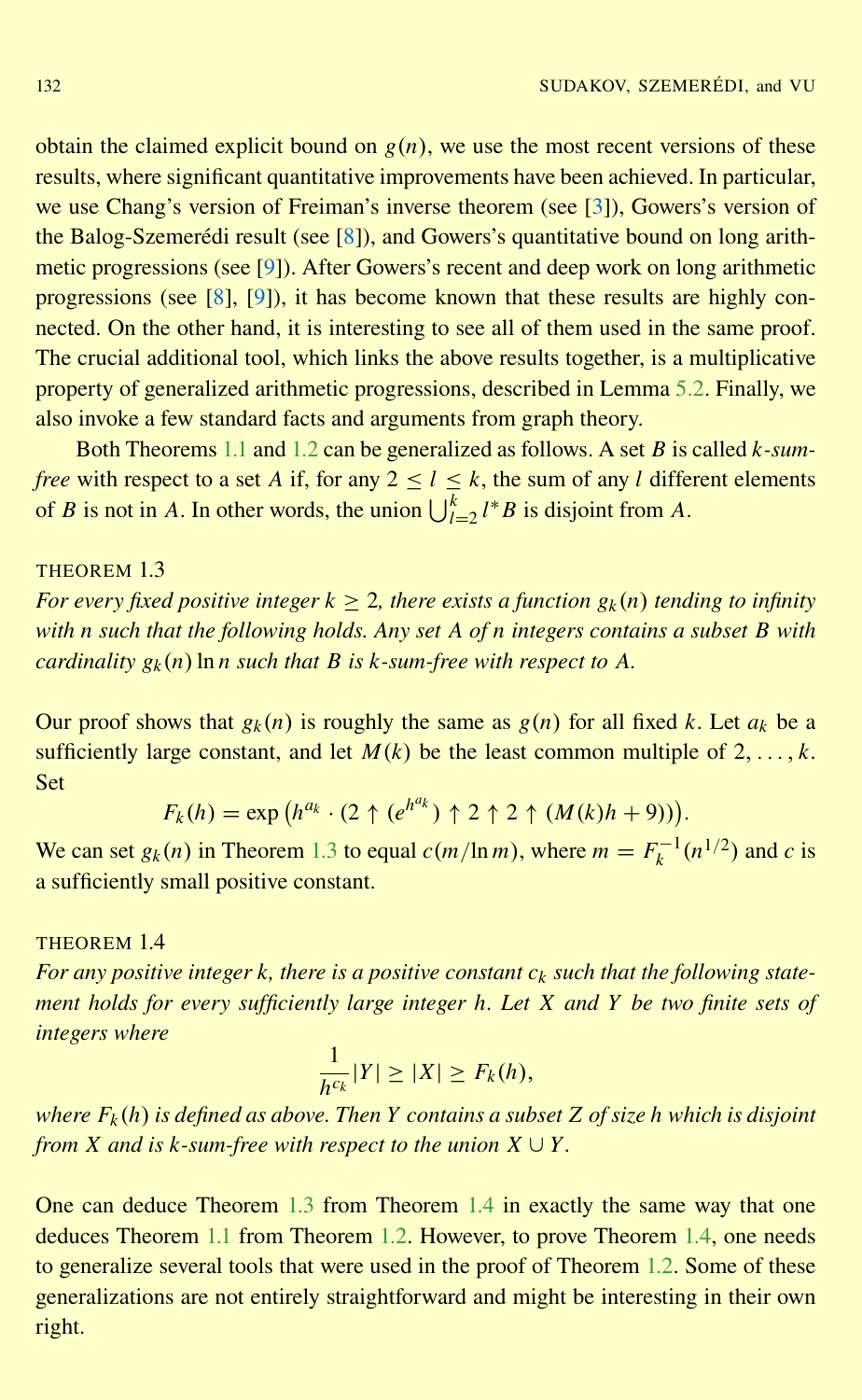<span id="page-3-0"></span>obtain the claimed explicit bound on  $g(n)$ , we use the most recent versions of these results, where significant quantitative improvements have been achieved. In particular, we use Chang's version of Freiman's inverse theorem (see [\[3\]](#page-25-0)), Gowers's version of the Balog-Szemerédi result (see  $[8]$  $[8]$ ), and Gowers's quantitative bound on long arithmetic progressions (see [\[9\]](#page-25-0)). After Gowers's recent and deep work on long arithmetic progressions (see [\[8\]](#page-25-0), [\[9\]](#page-25-0)), it has become known that these results are highly connected. On the other hand, it is interesting to see all of them used in the same proof. The crucial additional tool, which links the above results together, is a multiplicative property of generalized arithmetic progressions, described in Lemma [5.2.](#page-15-0) Finally, we also invoke a few standard facts and arguments from graph theory.

Both Theorems [1.1](#page-2-0) and [1.2](#page-2-0) can be generalized as follows. A set *B* is called *k-sumfree* with respect to a set *A* if, for any  $2 < l < k$ , the sum of any *l* different elements of *B* is not in *A*. In other words, the union  $\bigcup_{l=2}^{k} l^* B$  is disjoint from *A*.

## THEOREM 13

*For every fixed positive integer*  $k > 2$ , *there exists a function*  $g_k(n)$  *tending to infinity with n such that the following holds. Any set A of n integers contains a subset B with cardinality*  $g_k(n)$  ln *n such that B is k*-*sum-free with respect to A.* 

Our proof shows that  $g_k(n)$  is roughly the same as  $g(n)$  for all fixed *k*. Let  $a_k$  be a sufficiently large constant, and let  $M(k)$  be the least common multiple of  $2, \ldots, k$ . Set

$$
F_k(h) = \exp (h^{a_k} \cdot (2 \uparrow (e^{h^{a_k}}) \uparrow 2 \uparrow 2 \uparrow (M(k)h + 9))).
$$

We can set  $g_k(n)$  in Theorem 1.3 to equal  $c(m/\ln m)$ , where  $m = F_k^{-1}(n^{1/2})$  and  $c$  is a sufficiently small positive constant.

#### THEOREM 1.4

*For any positive integer*  $k$ *, there is a positive constant*  $c_k$  *such that the following statement holds for every sufficiently large integer h. Let X and Y be two finite sets of integers where*

$$
\frac{1}{h^{c_k}}|Y| \geq |X| \geq F_k(h),
$$

*where F<sup>k</sup>* (*h*) *is defined as above. Then Y contains a subset Z of size h which is disjoint from X and is*  $k$ -sum-free with respect to the union  $X \cup Y$ .

One can deduce Theorem 1.3 from Theorem 1.4 in exactly the same way that one deduces Theorem [1.1](#page-2-0) from Theorem [1.2.](#page-2-0) However, to prove Theorem 1.4, one needs to generalize several tools that were used in the proof of Theorem [1.2.](#page-2-0) Some of these generalizations are not entirely straightforward and might be interesting in their own right.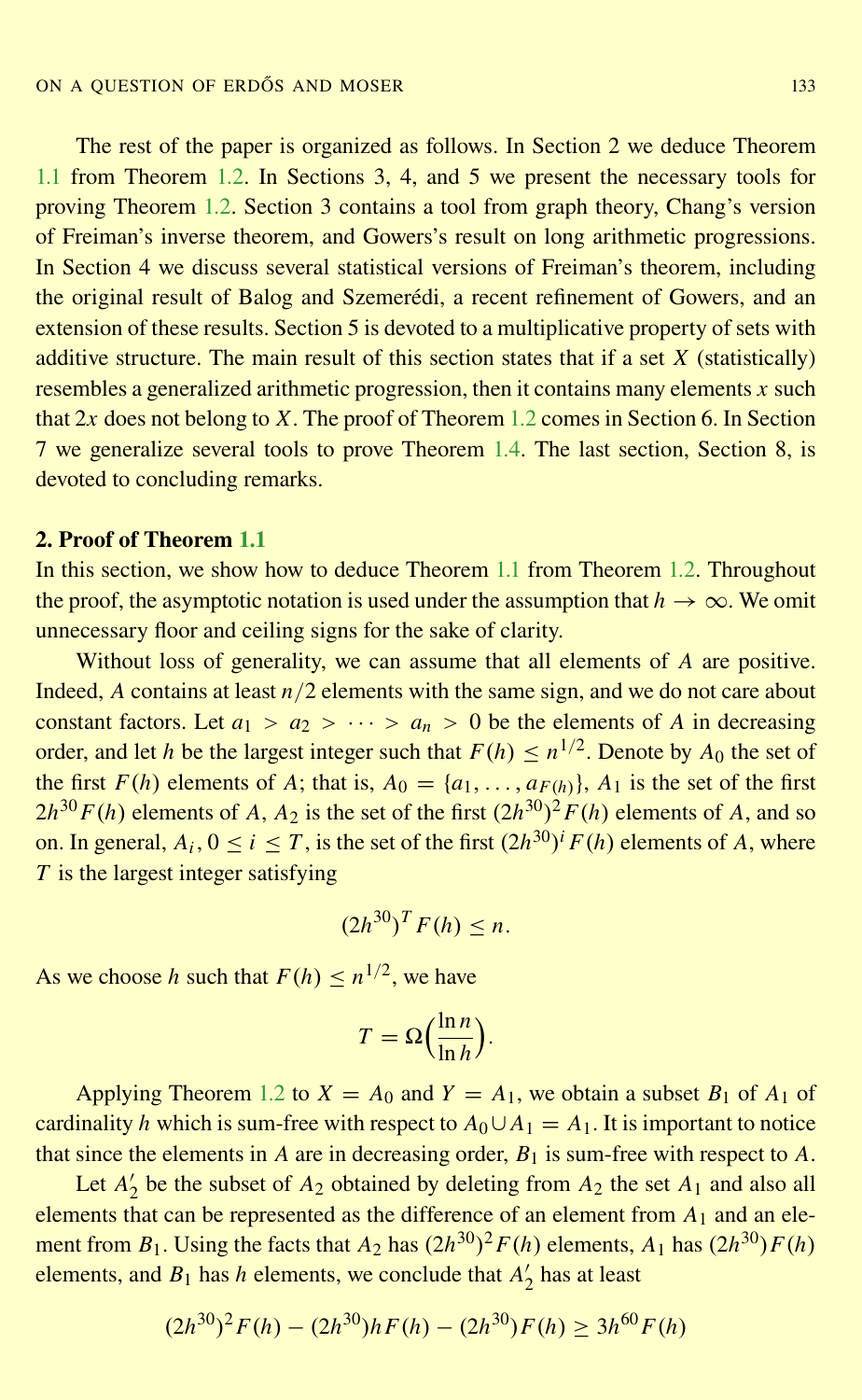The rest of the paper is organized as follows. In Section 2 we deduce Theorem [1.1](#page-2-0) from Theorem [1.2.](#page-2-0) In Sections 3, 4, and 5 we present the necessary tools for proving Theorem [1.2.](#page-2-0) Section 3 contains a tool from graph theory, Chang's version of Freiman's inverse theorem, and Gowers's result on long arithmetic progressions. In Section 4 we discuss several statistical versions of Freiman's theorem, including the original result of Balog and Szemerédi, a recent refinement of Gowers, and an extension of these results. Section 5 is devoted to a multiplicative property of sets with additive structure. The main result of this section states that if a set *X* (statistically) resembles a generalized arithmetic progression, then it contains many elements *x* such that 2*x* does not belong to *X*. The proof of Theorem [1.2](#page-2-0) comes in Section 6. In Section 7 we generalize several tools to prove Theorem [1.4.](#page-3-0) The last section, Section 8, is devoted to concluding remarks.

# 2. Proof of Theorem [1.1](#page-2-0)

In this section, we show how to deduce Theorem [1.1](#page-2-0) from Theorem [1.2.](#page-2-0) Throughout the proof, the asymptotic notation is used under the assumption that  $h \to \infty$ . We omit unnecessary floor and ceiling signs for the sake of clarity.

Without loss of generality, we can assume that all elements of *A* are positive. Indeed, *A* contains at least *n*/2 elements with the same sign, and we do not care about constant factors. Let  $a_1 > a_2 > \cdots > a_n > 0$  be the elements of *A* in decreasing order, and let *h* be the largest integer such that  $F(h) \leq n^{1/2}$ . Denote by  $A_0$  the set of the first  $F(h)$  elements of *A*; that is,  $A_0 = \{a_1, \ldots, a_{F(h)}\}$ ,  $A_1$  is the set of the first  $2h^{30}F(h)$  elements of *A*, *A*<sub>2</sub> is the set of the first  $(2h^{30})^2F(h)$  elements of *A*, and so on. In general,  $A_i$ ,  $0 \le i \le T$ , is the set of the first  $(2h^{30})^i F(h)$  elements of *A*, where *T* is the largest integer satisfying

$$
(2h^{30})^T F(h) \leq n.
$$

As we choose *h* such that  $F(h) \leq n^{1/2}$ , we have

$$
T = \Omega\left(\frac{\ln n}{\ln h}\right).
$$

Applying Theorem [1.2](#page-2-0) to  $X = A_0$  and  $Y = A_1$ , we obtain a subset  $B_1$  of  $A_1$  of cardinality *h* which is sum-free with respect to  $A_0 \cup A_1 = A_1$ . It is important to notice that since the elements in  $A$  are in decreasing order,  $B_1$  is sum-free with respect to  $A$ .

Let  $A'$  $\frac{1}{2}$  be the subset of  $A_2$  obtained by deleting from  $A_2$  the set  $A_1$  and also all elements that can be represented as the difference of an element from *A*<sup>1</sup> and an element from  $B_1$ . Using the facts that  $A_2$  has  $(2h^{30})^2 F(h)$  elements,  $A_1$  has  $(2h^{30})F(h)$ elements, and  $B_1$  has *h* elements, we conclude that  $A_2^{\prime}$  $\frac{7}{2}$  has at least

$$
(2h^{30})^2 F(h) - (2h^{30})hF(h) - (2h^{30})F(h) \ge 3h^{60}F(h)
$$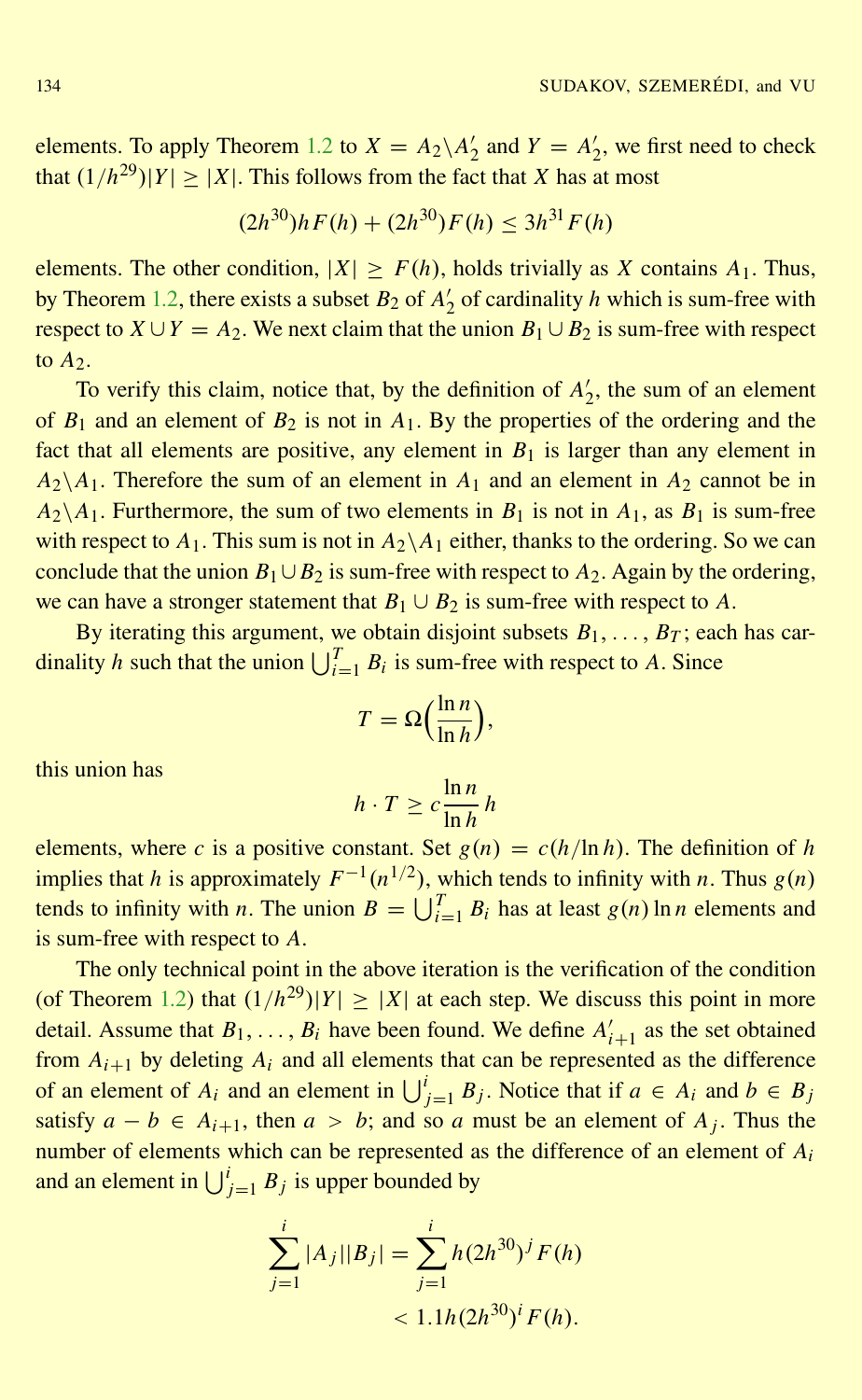elements. To apply Theorem [1.2](#page-2-0) to  $X = A_2 \setminus A_2'$  $Y_2'$  and  $Y = A_2'$  $\frac{1}{2}$ , we first need to check that  $(1/h^{29})|Y| \ge |X|$ . This follows from the fact that *X* has at most

$$
(2h^{30})hF(h) + (2h^{30})F(h) \le 3h^{31}F(h)
$$

elements. The other condition,  $|X| > F(h)$ , holds trivially as *X* contains  $A_1$ . Thus, by Theorem [1.2,](#page-2-0) there exists a subset  $B_2$  of  $A_2$ <sup>2</sup>  $\frac{1}{2}$  of cardinality *h* which is sum-free with respect to  $X \cup Y = A_2$ . We next claim that the union  $B_1 \cup B_2$  is sum-free with respect to  $A_2$ .

To verify this claim, notice that, by the definition of  $A_2$ <sup>*l*</sup>  $\frac{1}{2}$ , the sum of an element of  $B_1$  and an element of  $B_2$  is not in  $A_1$ . By the properties of the ordering and the fact that all elements are positive, any element in  $B_1$  is larger than any element in  $A_2 \setminus A_1$ . Therefore the sum of an element in  $A_1$  and an element in  $A_2$  cannot be in  $A_2 \setminus A_1$ . Furthermore, the sum of two elements in  $B_1$  is not in  $A_1$ , as  $B_1$  is sum-free with respect to  $A_1$ . This sum is not in  $A_2 \setminus A_1$  either, thanks to the ordering. So we can conclude that the union  $B_1 \cup B_2$  is sum-free with respect to  $A_2$ . Again by the ordering, we can have a stronger statement that  $B_1 \cup B_2$  is sum-free with respect to *A*.

By iterating this argument, we obtain disjoint subsets  $B_1, \ldots, B_T$ ; each has cardinality *h* such that the union  $\bigcup_{i=1}^{T} B_i$  is sum-free with respect to *A*. Since

$$
T = \Omega\left(\frac{\ln n}{\ln h}\right),\,
$$

this union has

$$
h \cdot T \ge c \frac{\ln n}{\ln h} h
$$

elements, where *c* is a positive constant. Set  $g(n) = c(h/\ln h)$ . The definition of *h* implies that *h* is approximately  $F^{-1}(n^{1/2})$ , which tends to infinity with *n*. Thus  $g(n)$ tends to infinity with *n*. The union  $B = \bigcup_{i=1}^{T} B_i$  has at least  $g(n) \ln n$  elements and is sum-free with respect to *A*.

The only technical point in the above iteration is the verification of the condition (of Theorem [1.2\)](#page-2-0) that  $(1/h^{29})|Y| \ge |X|$  at each step. We discuss this point in more detail. Assume that  $B_1, \ldots, B_i$  have been found. We define  $A'_{i+1}$  as the set obtained from  $A_{i+1}$  by deleting  $A_i$  and all elements that can be represented as the difference of an element of  $A_i$  and an element in  $\bigcup_{j=1}^i B_j$ . Notice that if  $a \in A_i$  and  $b \in B_j$ satisfy  $a - b \in A_{i+1}$ , then  $a > b$ ; and so a must be an element of  $A_j$ . Thus the number of elements which can be represented as the difference of an element of *A<sup>i</sup>* and an element in  $\bigcup_{j=1}^{i} B_j$  is upper bounded by

$$
\sum_{j=1}^{i} |A_j||B_j| = \sum_{j=1}^{i} h(2h^{30})^j F(h)
$$
  
< 
$$
< 1.1h(2h^{30})^i F(h).
$$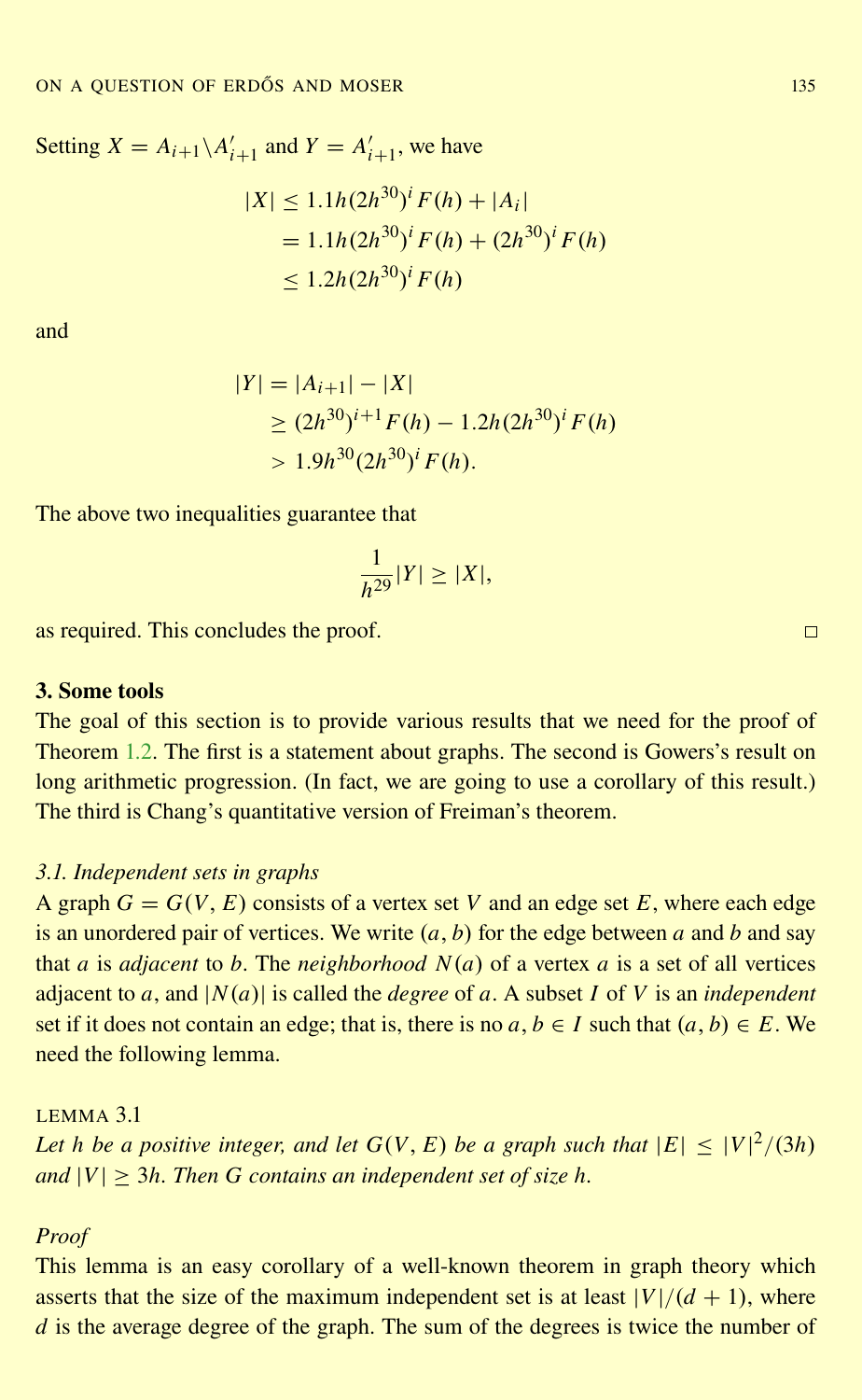<span id="page-6-0"></span>Setting  $X = A_{i+1} \setminus A'_{i+1}$  and  $Y = A'_{i+1}$ , we have

$$
|X| \le 1.1h(2h^{30})^i F(h) + |A_i|
$$
  
= 1.1h(2h<sup>30</sup>)<sup>i</sup> F(h) + (2h<sup>30</sup>)<sup>i</sup> F(h)  

$$
\le 1.2h(2h30)^i F(h)
$$

and

$$
|Y| = |A_{i+1}| - |X|
$$
  
\n
$$
\ge (2h^{30})^{i+1} F(h) - 1.2h(2h^{30})^i F(h)
$$
  
\n
$$
> 1.9h^{30} (2h^{30})^i F(h).
$$

The above two inequalities guarantee that

$$
\frac{1}{h^{29}}|Y| \ge |X|,
$$

as required. This concludes the proof.

# 3. Some tools

The goal of this section is to provide various results that we need for the proof of Theorem [1.2.](#page-2-0) The first is a statement about graphs. The second is Gowers's result on long arithmetic progression. (In fact, we are going to use a corollary of this result.) The third is Chang's quantitative version of Freiman's theorem.

#### *3.1. Independent sets in graphs*

A graph  $G = G(V, E)$  consists of a vertex set V and an edge set E, where each edge is an unordered pair of vertices. We write  $(a, b)$  for the edge between a and b and say that *a* is *adjacent* to *b*. The *neighborhood N*(*a*) of a vertex *a* is a set of all vertices adjacent to *a*, and  $|N(a)|$  is called the *degree* of *a*. A subset *I* of *V* is an *independent* set if it does not contain an edge; that is, there is no  $a, b \in I$  such that  $(a, b) \in E$ . We need the following lemma.

# LEMMA 3.1

*Let h be a positive integer, and let*  $G(V, E)$  *be a graph such that*  $|E| \leq |V|^2/(3h)$  $\alpha$  *and*  $|V| > 3h$ . Then G contains an independent set of size h.

## *Proof*

This lemma is an easy corollary of a well-known theorem in graph theory which asserts that the size of the maximum independent set is at least  $|V|/(d + 1)$ , where *d* is the average degree of the graph. The sum of the degrees is twice the number of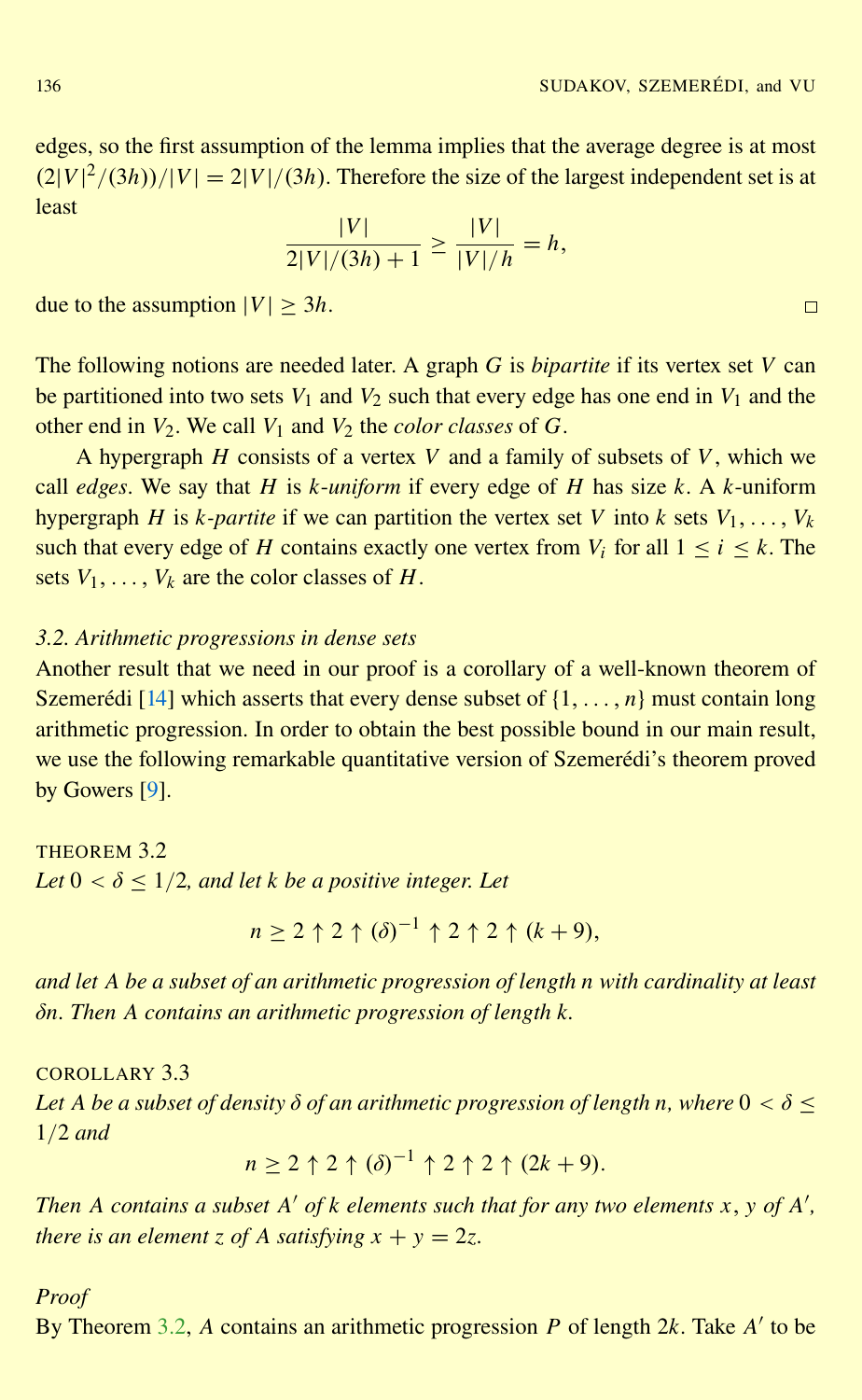<span id="page-7-0"></span>edges, so the first assumption of the lemma implies that the average degree is at most  $(2|V|^2/(3h))/|V| = 2|V|/(3h)$ . Therefore the size of the largest independent set is at least

$$
\frac{|V|}{2|V|/(3h)+1} \ge \frac{|V|}{|V|/h} = h,
$$

due to the assumption  $|V| \geq 3h$ .

The following notions are needed later. A graph *G* is *bipartite* if its vertex set *V* can be partitioned into two sets  $V_1$  and  $V_2$  such that every edge has one end in  $V_1$  and the other end in  $V_2$ . We call  $V_1$  and  $V_2$  the *color classes* of  $G$ .

A hypergraph *H* consists of a vertex *V* and a family of subsets of *V*, which we call *edges*. We say that *H* is *k*-*uniform* if every edge of *H* has size *k*. A *k*-uniform hypergraph *H* is *k*-partite if we can partition the vertex set *V* into *k* sets  $V_1, \ldots, V_k$ such that every edge of *H* contains exactly one vertex from  $V_i$  for all  $1 \le i \le k$ . The sets  $V_1, \ldots, V_k$  are the color classes of *H*.

#### *3.2. Arithmetic progressions in dense sets*

Another result that we need in our proof is a corollary of a well-known theorem of Szemerédi [[14\]](#page-25-0) which asserts that every dense subset of  $\{1, \ldots, n\}$  must contain long arithmetic progression. In order to obtain the best possible bound in our main result, we use the following remarkable quantitative version of Szemerédi's theorem proved by Gowers [\[9\]](#page-25-0).

THEOREM 3.2 *Let*  $0 < \delta < 1/2$ *, and let k be a positive integer. Let* 

$$
n \geq 2 \uparrow 2 \uparrow (\delta)^{-1} \uparrow 2 \uparrow 2 \uparrow (k+9),
$$

*and let A be a subset of an arithmetic progression of length n with cardinality at least* δ*n. Then A contains an arithmetic progression of length k.*

## COROLLARY 3.3

*Let A be a subset of density*  $\delta$  *of an arithmetic progression of length n, where*  $0 < \delta$  < 1/2 *and*

$$
n \geq 2 \uparrow 2 \uparrow (\delta)^{-1} \uparrow 2 \uparrow 2 \uparrow (2k+9).
$$

*Then A contains a subset A*<sup> $\prime$ </sup> *of k elements such that for any two elements x*, *y of A*<sup> $\prime$ </sup>, *there is an element z of A satisfying*  $x + y = 2z$ .

#### *Proof*

By Theorem 3.2, A contains an arithmetic progression *P* of length 2*k*. Take *A'* to be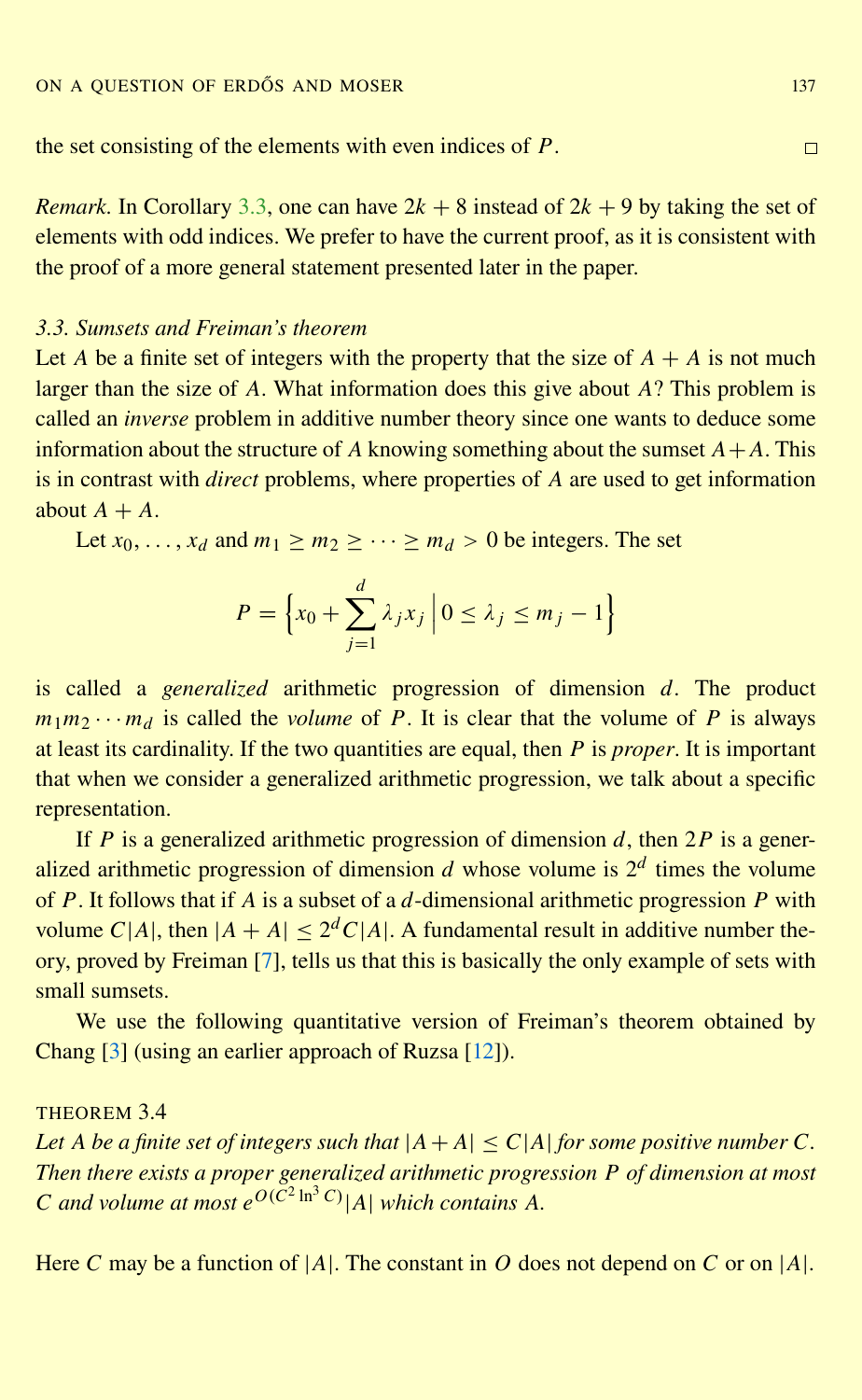<span id="page-8-0"></span>the set consisting of the elements with even indices of *P*.

*Remark.* In Corollary [3.3,](#page-7-0) one can have  $2k + 8$  instead of  $2k + 9$  by taking the set of elements with odd indices. We prefer to have the current proof, as it is consistent with the proof of a more general statement presented later in the paper.

#### *3.3. Sumsets and Freiman's theorem*

Let *A* be a finite set of integers with the property that the size of  $A + A$  is not much larger than the size of *A*. What information does this give about *A*? This problem is called an *inverse* problem in additive number theory since one wants to deduce some information about the structure of *A* knowing something about the sumset  $A + A$ . This is in contrast with *direct* problems, where properties of *A* are used to get information about  $A + A$ .

Let  $x_0, \ldots, x_d$  and  $m_1 \ge m_2 \ge \cdots \ge m_d > 0$  be integers. The set

$$
P = \left\{ x_0 + \sum_{j=1}^d \lambda_j x_j \middle| 0 \le \lambda_j \le m_j - 1 \right\}
$$

is called a *generalized* arithmetic progression of dimension *d*. The product  $m_1m_2 \cdots m_d$  is called the *volume* of *P*. It is clear that the volume of *P* is always at least its cardinality. If the two quantities are equal, then *P* is *proper*. It is important that when we consider a generalized arithmetic progression, we talk about a specific representation.

If *P* is a generalized arithmetic progression of dimension *d*, then 2*P* is a generalized arithmetic progression of dimension  $d$  whose volume is  $2^d$  times the volume of *P*. It follows that if *A* is a subset of a *d*-dimensional arithmetic progression *P* with volume  $C|A|$ , then  $|A + A| \leq 2^d C|A|$ . A fundamental result in additive number theory, proved by Freiman [\[7\]](#page-25-0), tells us that this is basically the only example of sets with small sumsets.

We use the following quantitative version of Freiman's theorem obtained by Chang [\[3\]](#page-25-0) (using an earlier approach of Ruzsa [\[12\]](#page-25-0)).

# THEOREM 3.4

*Let A be a finite set of integers such that*  $|A + A| \leq C |A|$  *for some positive number C*. *Then there exists a proper generalized arithmetic progression P of dimension at most C* and volume at most  $e^{O(C^2 \ln^3 C)}$  | *A*| *which contains A*.

Here *C* may be a function of  $|A|$ . The constant in *O* does not depend on *C* or on  $|A|$ .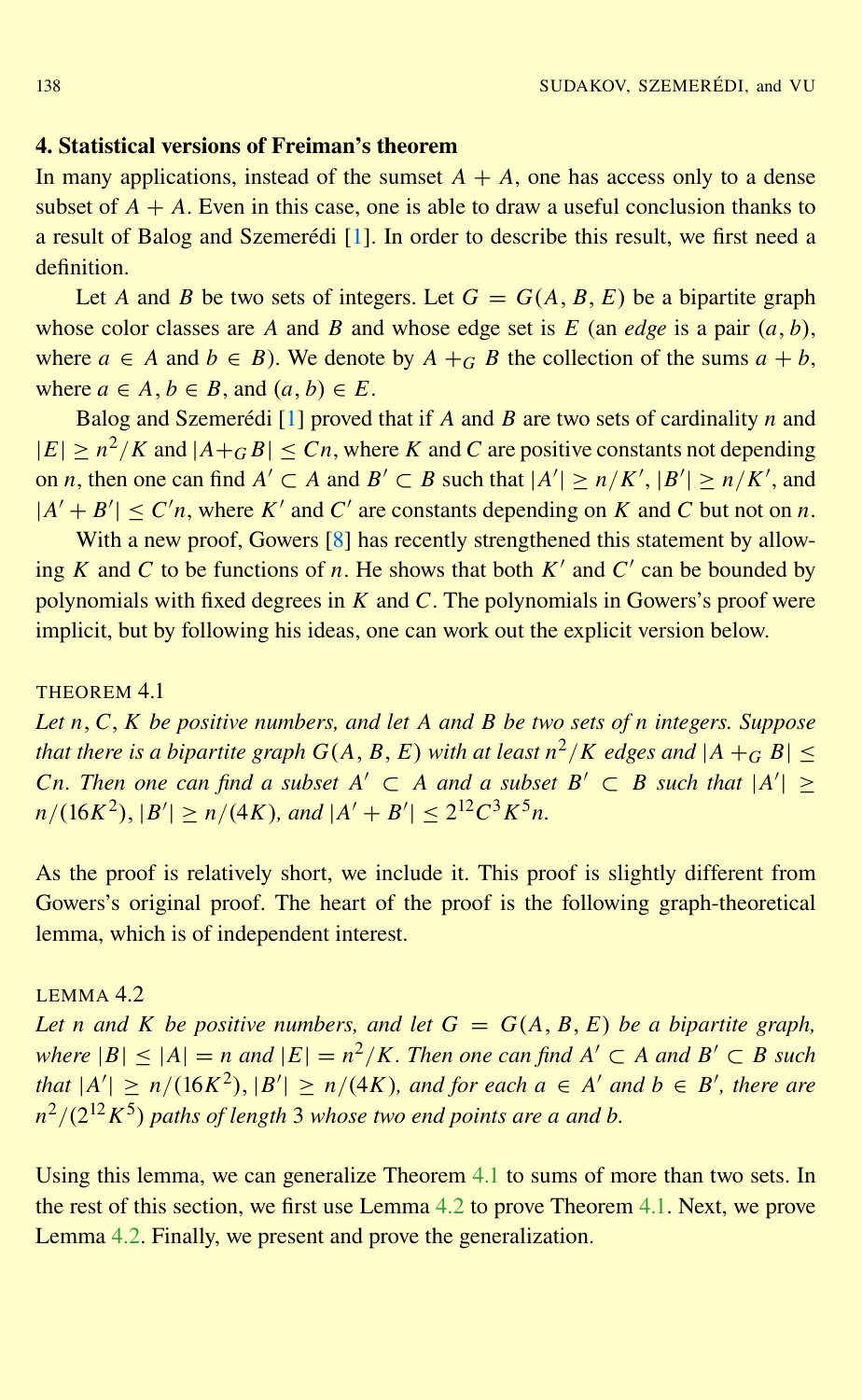#### <span id="page-9-0"></span>4. Statistical versions of Freiman's theorem

In many applications, instead of the sumset  $A + A$ , one has access only to a dense subset of  $A + A$ . Even in this case, one is able to draw a useful conclusion thanks to a result of Balog and Szemerédi [[1\]](#page-25-0). In order to describe this result, we first need a definition.

Let *A* and *B* be two sets of integers. Let  $G = G(A, B, E)$  be a bipartite graph whose color classes are *A* and *B* and whose edge set is *E* (an *edge* is a pair  $(a, b)$ , where  $a \in A$  and  $b \in B$ ). We denote by  $A + G$  *B* the collection of the sums  $a + b$ , where  $a \in A$ ,  $b \in B$ , and  $(a, b) \in E$ .

Balog and Szemerédi [[1\]](#page-25-0) proved that if *A* and *B* are two sets of cardinality *n* and  $|E| \ge n^2/K$  and  $|A+_{G}B| \le Cn$ , where *K* and *C* are positive constants not depending on *n*, then one can find  $A' \subset A$  and  $B' \subset B$  such that  $|A'| \ge n/K'$ ,  $|B'| \ge n/K'$ , and  $|A' + B'| \le C'n$ , where *K'* and *C'* are constants depending on *K* and *C* but not on *n*.

With a new proof, Gowers [\[8\]](#page-25-0) has recently strengthened this statement by allowing *K* and *C* to be functions of *n*. He shows that both  $K'$  and  $C'$  can be bounded by polynomials with fixed degrees in *K* and *C*. The polynomials in Gowers's proof were implicit, but by following his ideas, one can work out the explicit version below.

# THEOREM 4.1

*Let n*,*C*, *K be positive numbers, and let A and B be two sets of n integers. Suppose that there is a bipartite graph*  $G(A, B, E)$  *with at least*  $n^2/K$  *edges and*  $|A +_G B| \le$ *Cn. Then one can find a subset*  $A' \subset A$  *and a subset*  $B' \subset B$  *such that*  $|A'| \ge$  $n/(16K^2), |B'| \ge n/(4K)$ , and  $|A' + B'| \le 2^{12}C^3K^5n$ .

As the proof is relatively short, we include it. This proof is slightly different from Gowers's original proof. The heart of the proof is the following graph-theoretical lemma, which is of independent interest.

# $LEMMA 4.2$

*Let n* and *K be positive numbers, and let*  $G = G(A, B, E)$  *be a bipartite graph, where*  $|B|$  ≤  $|A|$  = *n and*  $|E|$  = *n*<sup>2</sup>/*K*. *Then one can find A*<sup> $'$ </sup> ⊂ *A and B*<sup> $'$ </sup> ⊂ *B such*  $\int f(x) \leq h(x) \cdot h(x^2)$ ,  $|B'| \geq h/(4K)$ , and for each  $a \in A'$  and  $b \in B'$ , there are *n* 2 /(2 <sup>12</sup>*K* 5 ) *paths of length* 3 *whose two end points are a and b.*

Using this lemma, we can generalize Theorem 4.1 to sums of more than two sets. In the rest of this section, we first use Lemma 4.2 to prove Theorem 4.1. Next, we prove Lemma 4.2. Finally, we present and prove the generalization.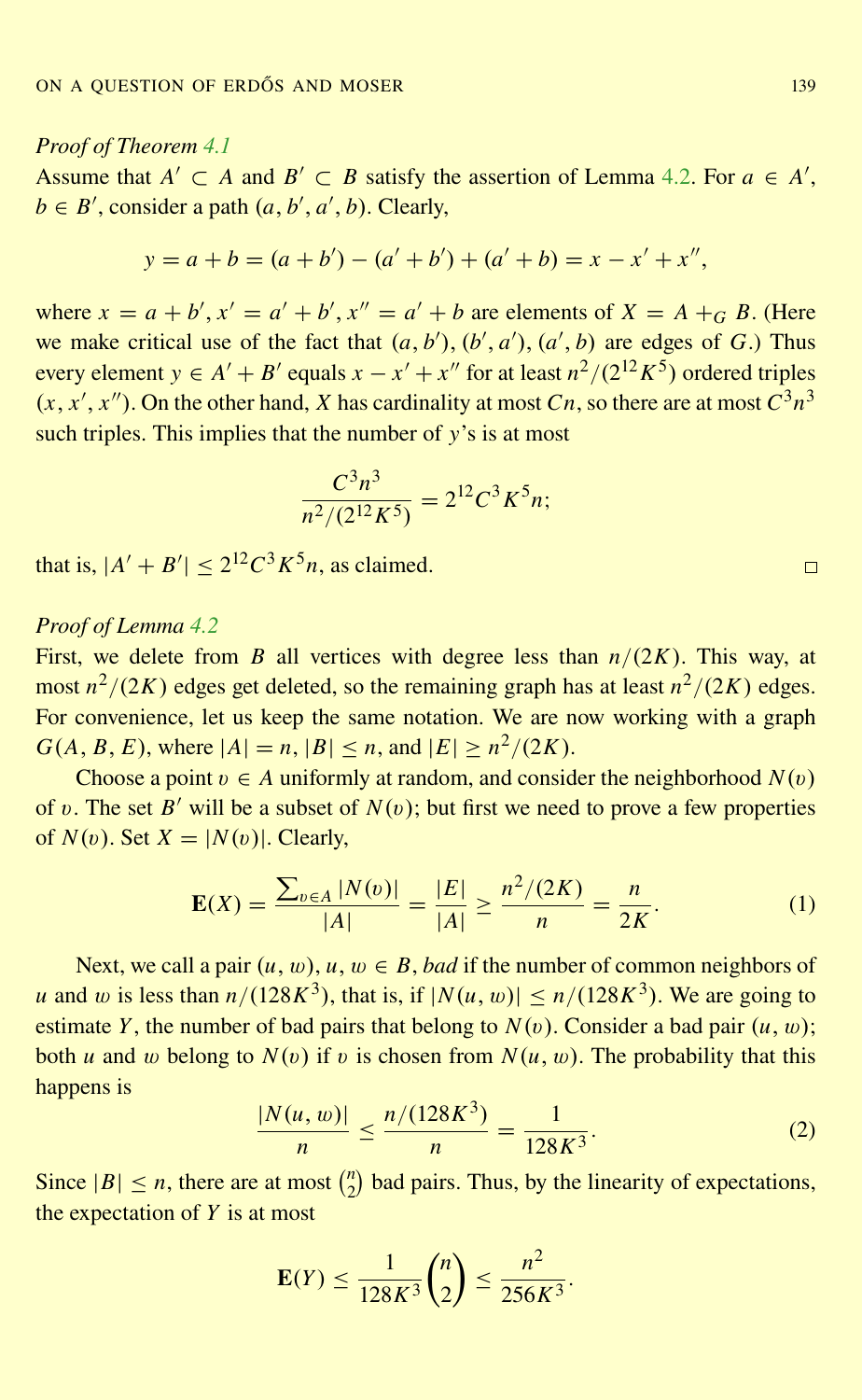# <span id="page-10-0"></span>*Proof of Theorem [4.1](#page-9-0)*

Assume that  $A' \subset A$  and  $B' \subset B$  satisfy the assertion of Lemma [4.2.](#page-9-0) For  $a \in A'$ ,  $b \in B'$ , consider a path  $(a, b', a', b)$ . Clearly,

$$
y = a + b = (a + b') - (a' + b') + (a' + b) = x - x' + x'',
$$

where  $x = a + b'$ ,  $x' = a' + b'$ ,  $x'' = a' + b$  are elements of  $X = A +_{G} B$ . (Here we make critical use of the fact that  $(a, b')$ ,  $(b', a')$ ,  $(a', b)$  are edges of *G*.) Thus every element  $y \in A' + B'$  equals  $x - x' + x''$  for at least  $n^2/(2^{12}K^5)$  ordered triples  $(x, x', x'')$ . On the other hand, *X* has cardinality at most *Cn*, so there are at most  $C^3 n^3$ such triples. This implies that the number of *y*'s is at most

$$
\frac{C^3 n^3}{n^2/(2^{12} K^5)} = 2^{12} C^3 K^5 n;
$$

that is,  $|A' + B'| \le 2^{12} C^3 K^5 n$ , as claimed.

# *Proof of Lemma [4.2](#page-9-0)*

First, we delete from *B* all vertices with degree less than  $n/(2K)$ . This way, at most  $n^2/(2K)$  edges get deleted, so the remaining graph has at least  $n^2/(2K)$  edges. For convenience, let us keep the same notation. We are now working with a graph *G*(*A*, *B*, *E*), where  $|A| = n$ ,  $|B| \le n$ , and  $|E| \ge n^2/(2K)$ .

Choose a point  $v \in A$  uniformly at random, and consider the neighborhood  $N(v)$ of v. The set  $B'$  will be a subset of  $N(v)$ ; but first we need to prove a few properties of  $N(v)$ . Set  $X = |N(v)|$ . Clearly,

$$
\mathbf{E}(X) = \frac{\sum_{v \in A} |N(v)|}{|A|} = \frac{|E|}{|A|} \ge \frac{n^2/(2K)}{n} = \frac{n}{2K}.
$$
 (1)

Next, we call a pair  $(u, w)$ ,  $u, w \in B$ , *bad* if the number of common neighbors of *u* and *w* is less than  $n/(128K^3)$ , that is, if  $|N(u, w)| \le n/(128K^3)$ . We are going to estimate *Y*, the number of bad pairs that belong to  $N(v)$ . Consider a bad pair  $(u, w)$ ; both *u* and *w* belong to  $N(v)$  if *v* is chosen from  $N(u, w)$ . The probability that this happens is

$$
\frac{|N(u,w)|}{n} \le \frac{n/(128K^3)}{n} = \frac{1}{128K^3}.
$$
 (2)

Since  $|B| \le n$ , there are at most  $\binom{n}{2}$  $n_2$ ) bad pairs. Thus, by the linearity of expectations, the expectation of *Y* is at most

$$
\mathbf{E}(Y) \le \frac{1}{128K^3} {n \choose 2} \le \frac{n^2}{256K^3}.
$$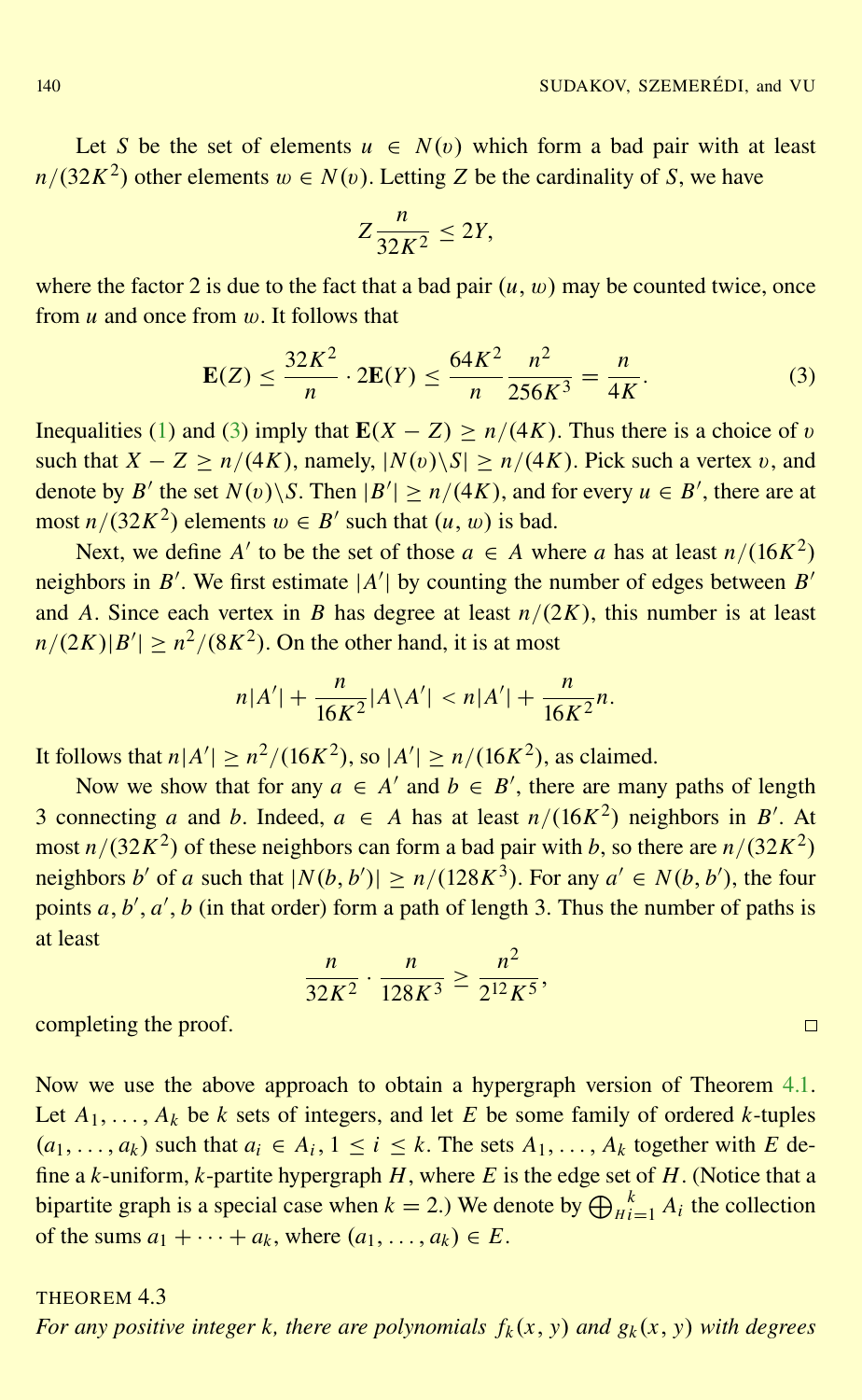<span id="page-11-0"></span>Let *S* be the set of elements  $u \in N(v)$  which form a bad pair with at least  $n/(32K^2)$  other elements  $w \in N(v)$ . Letting *Z* be the cardinality of *S*, we have

$$
Z\frac{n}{32K^2}\leq 2Y,
$$

where the factor 2 is due to the fact that a bad pair  $(u, w)$  may be counted twice, once from *u* and once from w. It follows that

$$
\mathbf{E}(Z) \le \frac{32K^2}{n} \cdot 2\mathbf{E}(Y) \le \frac{64K^2}{n} \frac{n^2}{256K^3} = \frac{n}{4K}.\tag{3}
$$

Inequalities [\(1\)](#page-10-0) and (3) imply that  $E(X - Z) > n/(4K)$ . Thus there is a choice of v such that  $X - Z > n/(4K)$ , namely,  $|N(v) \setminus S| > n/(4K)$ . Pick such a vertex v, and denote by *B*<sup> $\prime$ </sup> the set *N*(*v*)\*S*. Then  $|B'| \ge n/(4K)$ , and for every  $u \in B'$ , there are at most  $n/(32K^2)$  elements  $w \in B'$  such that  $(u, w)$  is bad.

Next, we define *A'* to be the set of those  $a \in A$  where *a* has at least  $n/(16K^2)$ neighbors in *B'*. We first estimate  $|A'|$  by counting the number of edges between *B'* and *A*. Since each vertex in *B* has degree at least  $n/(2K)$ , this number is at least  $n/(2K) |B'| \geq n^2/(8K^2)$ . On the other hand, it is at most

$$
n|A'| + \frac{n}{16K^2}|A\backslash A'| < n|A'| + \frac{n}{16K^2}n.
$$

It follows that  $n|A'| \geq n^2/(16K^2)$ , so  $|A'| \geq n/(16K^2)$ , as claimed.

Now we show that for any  $a \in A'$  and  $b \in B'$ , there are many paths of length 3 connecting *a* and *b*. Indeed,  $a \in A$  has at least  $n/(16K^2)$  neighbors in *B'*. At most  $n/(32K^2)$  of these neighbors can form a bad pair with *b*, so there are  $n/(32K^2)$ neighbors *b*<sup>*'*</sup> of *a* such that  $|N(b, b')| \ge n/(128K^3)$ . For any  $a' \in N(b, b')$ , the four points  $a, b', a', b$  (in that order) form a path of length 3. Thus the number of paths is at least

$$
\frac{n}{32K^2} \cdot \frac{n}{128K^3} \ge \frac{n^2}{2^{12}K^5},
$$

completing the proof.

Now we use the above approach to obtain a hypergraph version of Theorem [4.1.](#page-9-0) Let  $A_1, \ldots, A_k$  be *k* sets of integers, and let *E* be some family of ordered *k*-tuples  $(a_1, \ldots, a_k)$  such that  $a_i \in A_i$ ,  $1 \le i \le k$ . The sets  $A_1, \ldots, A_k$  together with *E* define a *k*-uniform, *k*-partite hypergraph *H*, where *E* is the edge set of *H*. (Notice that a bipartite graph is a special case when  $k = 2$ .) We denote by  $\bigoplus_{H}^{k} A_i$  the collection of the sums  $a_1 + \cdots + a_k$ , where  $(a_1, \ldots, a_k) \in E$ .

# THEOREM 4.3

*For any positive integer k, there are polynomials*  $f_k(x, y)$  *and*  $g_k(x, y)$  *with degrees*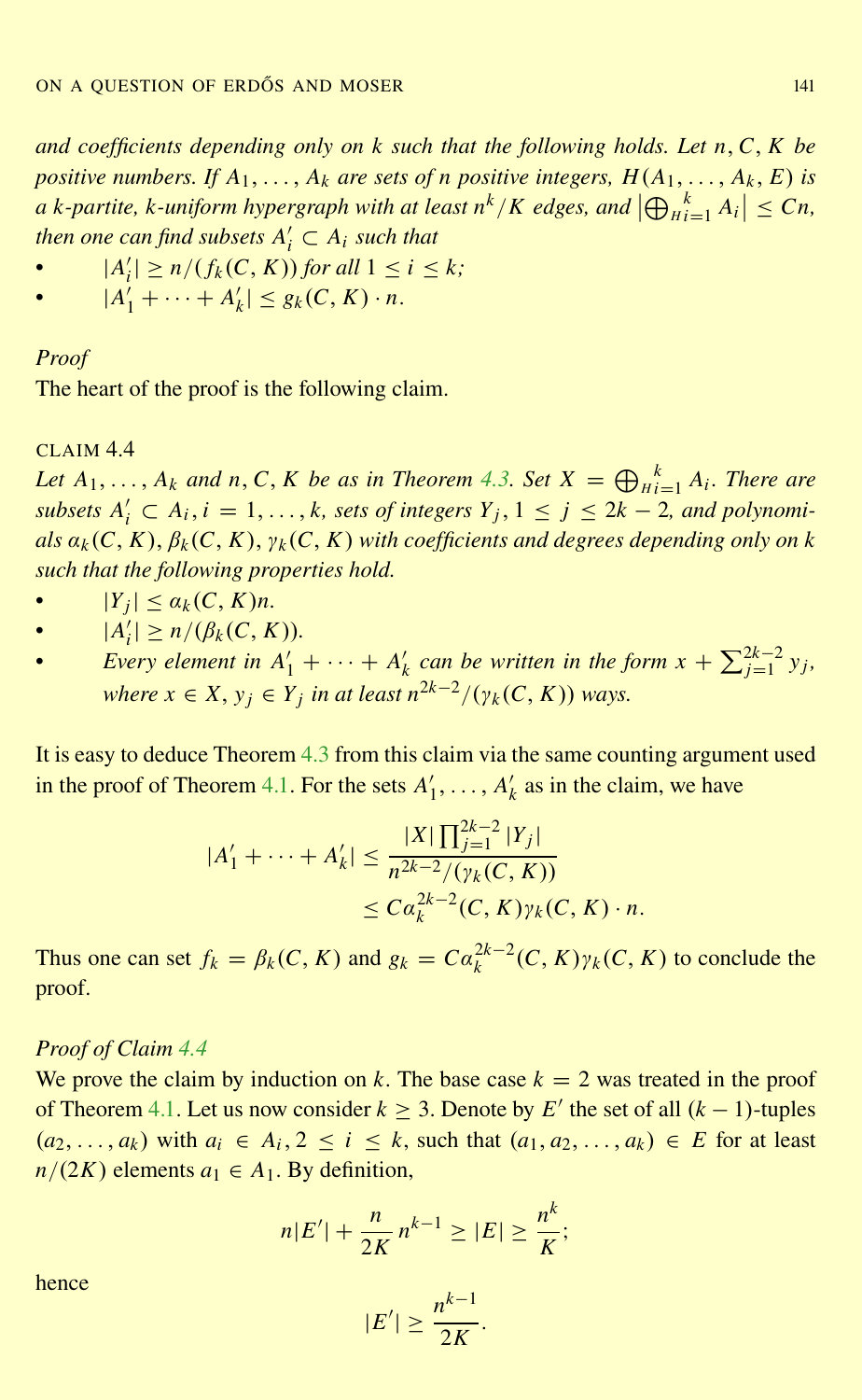<span id="page-12-0"></span>*and coefficients depending only on k such that the following holds. Let n*,*C*, *K be positive numbers. If*  $A_1, \ldots, A_k$  *are sets of n positive integers,*  $H(A_1, \ldots, A_k, E)$  *is a k*-partite, *k*-uniform hypergraph with at least  $n^k/K$  edges, and  $\left|\bigoplus_{Hi=1}^k A_i\right| \leq Cn$ ,  $\mathit{then}\ \mathit{one}\ \mathit{can}\ \mathit{find}\ \mathit{subsets}\ A'_i\subset A_i\ \mathit{such}\ \mathit{that}$ 

• 
$$
|A'_i| \ge n/(f_k(C, K))
$$
 for all  $1 \le i \le k$ ;

•  $|A'_1| \le n/(f_k(\mathbf{C}, \mathbf{K})))$  *or an*  $1 \le$ <br>•  $|A'_1| + \cdots + A'_k| \le g_k(C, K) \cdot n$ .

## *Proof*

The heart of the proof is the following claim.

### CLAIM 4.4

*Let*  $A_1, \ldots, A_k$  *and*  $n, C, K$  *be as in Theorem [4.3.](#page-11-0) Set*  $X = \bigoplus_{H_i=1}^k A_i$ *. There are subsets*  $A'_i$  ⊂  $A_i$ ,  $i = 1, ..., k$ , sets of integers  $Y_j$ ,  $1 ≤ j ≤ 2k − 2$ , and polynomi*als*  $a_k(C, K)$ ,  $\beta_k(C, K)$ ,  $\gamma_k(C, K)$  *with coefficients and degrees depending only on k such that the following properties hold.*

- $|Y_j| \leq a_k(C, K)n$ .
- $|A'_i| \ge n/(\beta_k(C, K)).$
- *Every element in*  $A'_1 + \cdots + A'_k$  *can be written in the form*  $x + \sum_{j=1}^{2k-2} y_j$ , *where*  $x \in X$ ,  $y_j \in Y_j$  *in at least*  $n^{2k-2}/(\gamma_k(C, K))$  ways.

It is easy to deduce Theorem [4.3](#page-11-0) from this claim via the same counting argument used in the proof of Theorem [4.1.](#page-9-0) For the sets  $A_1'$  $A'_1, \ldots, A'_k$  as in the claim, we have

$$
|A'_1 + \dots + A'_k| \le \frac{|X| \prod_{j=1}^{2k-2} |Y_j|}{n^{2k-2} / (\gamma_k(C, K))}
$$
  
 
$$
\le C a_k^{2k-2} (C, K) \gamma_k(C, K) \cdot n.
$$

Thus one can set  $f_k = \beta_k(C, K)$  and  $g_k = Ca_k^{2k-2}(C, K)\gamma_k(C, K)$  to conclude the proof.

# *Proof of Claim 4.4*

We prove the claim by induction on *k*. The base case  $k = 2$  was treated in the proof of Theorem [4.1.](#page-9-0) Let us now consider  $k$  ≥ 3. Denote by  $E'$  the set of all  $(k-1)$ -tuples  $(a_1, a_2, \ldots, a_k)$  with  $a_i \in A_i$ ,  $2 \le i \le k$ , such that  $(a_1, a_2, \ldots, a_k) \in E$  for at least  $n/(2K)$  elements  $a_1 \in A_1$ . By definition,

$$
n|E'| + \frac{n}{2K} n^{k-1} \ge |E| \ge \frac{n^k}{K};
$$

hence

$$
|E'| \geq \frac{n^{k-1}}{2K}.
$$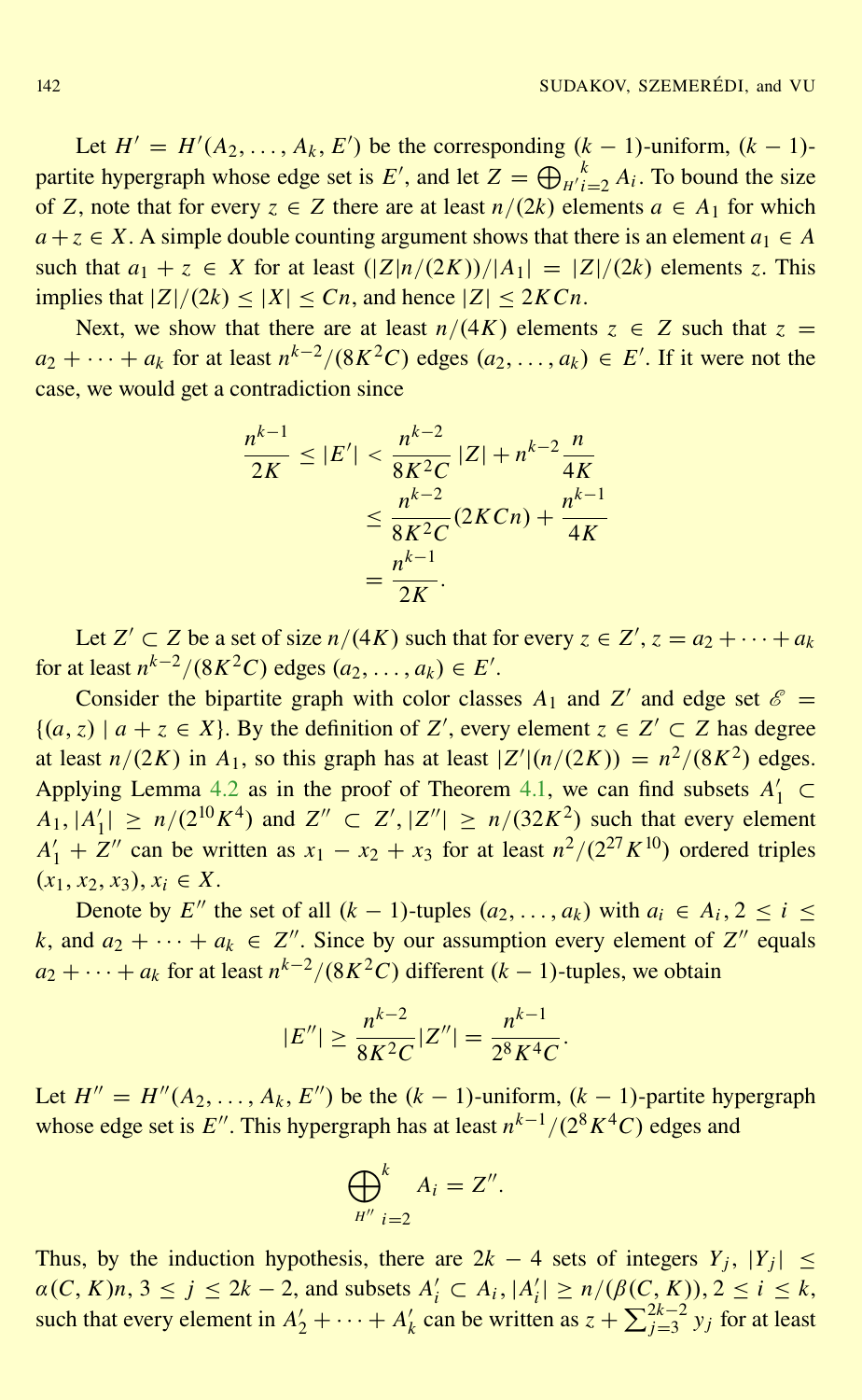Let  $H' = H'(A_2, \ldots, A_k, E')$  be the corresponding  $(k-1)$ -uniform,  $(k-1)$ partite hypergraph whose edge set is  $E'$ , and let  $Z = \bigoplus_{H' i=2}^k A_i$ . To bound the size of *Z*, note that for every  $z \in Z$  there are at least  $n/(2k)$  elements  $a \in A_1$  for which  $a + z \in X$ . A simple double counting argument shows that there is an element  $a_1 \in A$ such that  $a_1 + z \in X$  for at least  $(|Z|n/(2K))/|A_1| = |Z|/(2k)$  elements *z*. This implies that  $|Z|/(2k) \leq |X| \leq Cn$ , and hence  $|Z| \leq 2K Cn$ .

Next, we show that there are at least  $n/(4K)$  elements  $z \in Z$  such that  $z =$  $a_2 + \cdots + a_k$  for at least  $n^{k-2}/(8K^2C)$  edges  $(a_2, \ldots, a_k) \in E'$ . If it were not the case, we would get a contradiction since

$$
\frac{n^{k-1}}{2K} \le |E'| < \frac{n^{k-2}}{8K^2C} |Z| + n^{k-2} \frac{n}{4K}
$$
\n
$$
\le \frac{n^{k-2}}{8K^2C} (2KCn) + \frac{n^{k-1}}{4K}
$$
\n
$$
= \frac{n^{k-1}}{2K}.
$$

Let  $Z' \subset Z$  be a set of size  $n/(4K)$  such that for every  $z \in Z', z = a_2 + \cdots + a_k$ for at least  $n^{k-2}/(8K^2C)$  edges  $(a_2, ..., a_k) \in E'$ .

Consider the bipartite graph with color classes  $A_1$  and  $Z'$  and edge set  $\mathscr{E}$  =  ${(a, z) | a + z ∈ X}.$  By the definition of *Z'*, every element *z* ∈ *Z'* ⊂ *Z* has degree at least  $n/(2K)$  in  $A_1$ , so this graph has at least  $|Z'|(n/(2K)) = n^2/(8K^2)$  edges. Applying Lemma [4.2](#page-9-0) as in the proof of Theorem [4.1,](#page-9-0) we can find subsets  $A'_1 \subset$  $A_1, |A'_1$  $|I_1| \ge n/(2^{10}K^4)$  and  $Z'' \subset Z', |Z''| \ge n/(32K^2)$  such that every element  $A'_1 + Z''$  can be written as  $x_1 - x_2 + x_3$  for at least  $n^2/(2^{27}K^{10})$  ordered triples  $(x_1, x_2, x_3), x_i \in X.$ 

Denote by *E*<sup>*n*</sup> the set of all  $(k - 1)$ -tuples  $(a_2, \ldots, a_k)$  with  $a_i \in A_i, 2 \le i \le n$ *k*, and  $a_2 + \cdots + a_k \in \mathbb{Z}^n$ . Since by our assumption every element of  $\mathbb{Z}^n$  equals  $a_2 + \cdots + a_k$  for at least  $n^{k-2}/(8K^2C)$  different  $(k-1)$ -tuples, we obtain

$$
|E''| \ge \frac{n^{k-2}}{8K^2C} |Z''| = \frac{n^{k-1}}{2^8K^4C}.
$$

Let  $H'' = H''(A_2, \ldots, A_k, E'')$  be the  $(k-1)$ -uniform,  $(k-1)$ -partite hypergraph whose edge set is  $E''$ . This hypergraph has at least  $n^{k-1}/(2^8 K^4 C)$  edges and

$$
\bigoplus_{H''}^k A_i = Z''.
$$

Thus, by the induction hypothesis, there are  $2k - 4$  sets of integers  $Y_j$ ,  $|Y_j| \leq$  $\alpha(C, K)n, 3 \le j \le 2k - 2$ , and subsets  $A'_i \subset A_i, |A'_i| \ge n/(\beta(C, K)), 2 \le i \le k$ , such that every element in  $A'_2 + \cdots + A'_k$  can be written as  $z + \sum_{j=3}^{2k-2} y_j$  for at least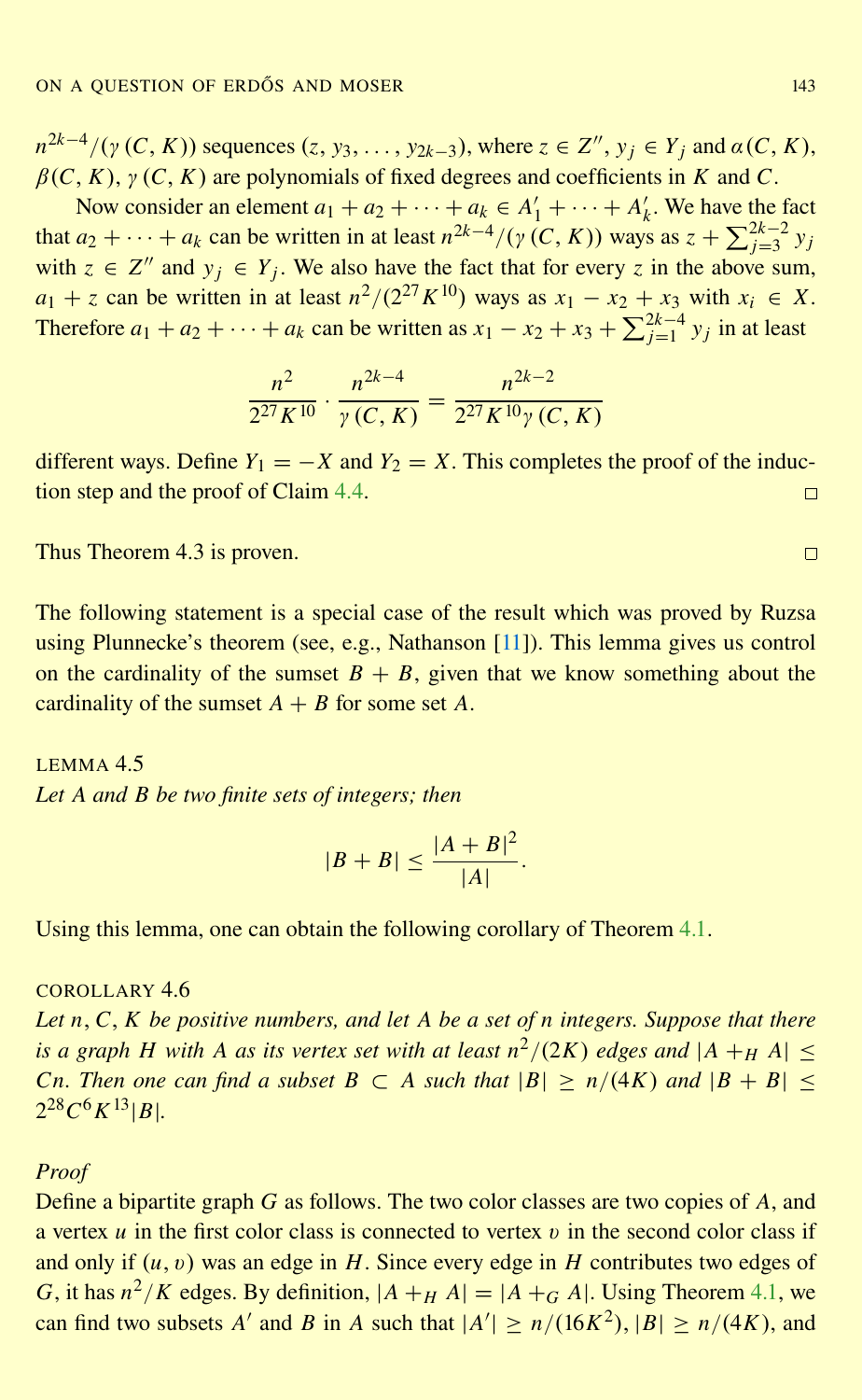<span id="page-14-0"></span> $n^{2k-4}/(\gamma(C, K))$  sequences  $(z, y_3, \ldots, y_{2k-3})$ , where  $z \in \mathbb{Z}^n$ ,  $y_j \in Y_j$  and  $\alpha(C, K)$ ,  $\beta(C, K)$ ,  $\gamma(C, K)$  are polynomials of fixed degrees and coefficients in *K* and *C*.

Now consider an element  $a_1 + a_2 + \cdots + a_k \in A'_1 + \cdots + A'_k$ . We have the fact that  $a_2 + \cdots + a_k$  can be written in at least  $n^{2k-4}/(y(C, K))$  ways as  $z + \sum_{j=3}^{2k-2} y_j$ with  $z \in Z''$  and  $y_j \in Y_j$ . We also have the fact that for every *z* in the above sum,  $a_1 + z$  can be written in at least  $n^2/(2^{27}K^{10})$  ways as  $x_1 - x_2 + x_3$  with  $x_i \in X$ . Therefore  $a_1 + a_2 + \cdots + a_k$  can be written as  $x_1 - x_2 + x_3 + \sum_{j=1}^{2k-4} y_j$  in at least

$$
\frac{n^2}{2^{27}K^{10}} \cdot \frac{n^{2k-4}}{\gamma(C, K)} = \frac{n^{2k-2}}{2^{27}K^{10}\gamma(C, K)}
$$

different ways. Define  $Y_1 = -X$  and  $Y_2 = X$ . This completes the proof of the induction step and the proof of Claim [4.4.](#page-12-0)  $\Box$ 

Thus Theorem 4.3 is proven.

The following statement is a special case of the result which was proved by Ruzsa using Plunnecke's theorem (see, e.g., Nathanson [\[11\]](#page-25-0)). This lemma gives us control on the cardinality of the sumset  $B + B$ , given that we know something about the cardinality of the sumset  $A + B$  for some set A.

LEMMA 4.5 *Let A and B be two finite sets of integers; then*

$$
|B+B| \le \frac{|A+B|^2}{|A|}.
$$

Using this lemma, one can obtain the following corollary of Theorem [4.1.](#page-9-0)

COROLLARY 46

*Let n*,*C*, *K be positive numbers, and let A be a set of n integers. Suppose that there is a graph H with A as its vertex set with at least*  $n^2/(2K)$  *edges and*  $|A +_H A| \le$ *Cn. Then one can find a subset*  $B \subset A$  *such that*  $|B| > n/(4K)$  *and*  $|B + B|$  $2^{28}C^6K^{13} |B|.$ 

#### *Proof*

Define a bipartite graph *G* as follows. The two color classes are two copies of *A*, and a vertex  $u$  in the first color class is connected to vertex  $v$  in the second color class if and only if  $(u, v)$  was an edge in *H*. Since every edge in *H* contributes two edges of *G*, it has  $n^2/K$  edges. By definition,  $|A + H|A| = |A + G|A|$ . Using Theorem [4.1,](#page-9-0) we can find two subsets *A'* and *B* in *A* such that  $|A'| \ge n/(16K^2)$ ,  $|B| \ge n/(4K)$ , and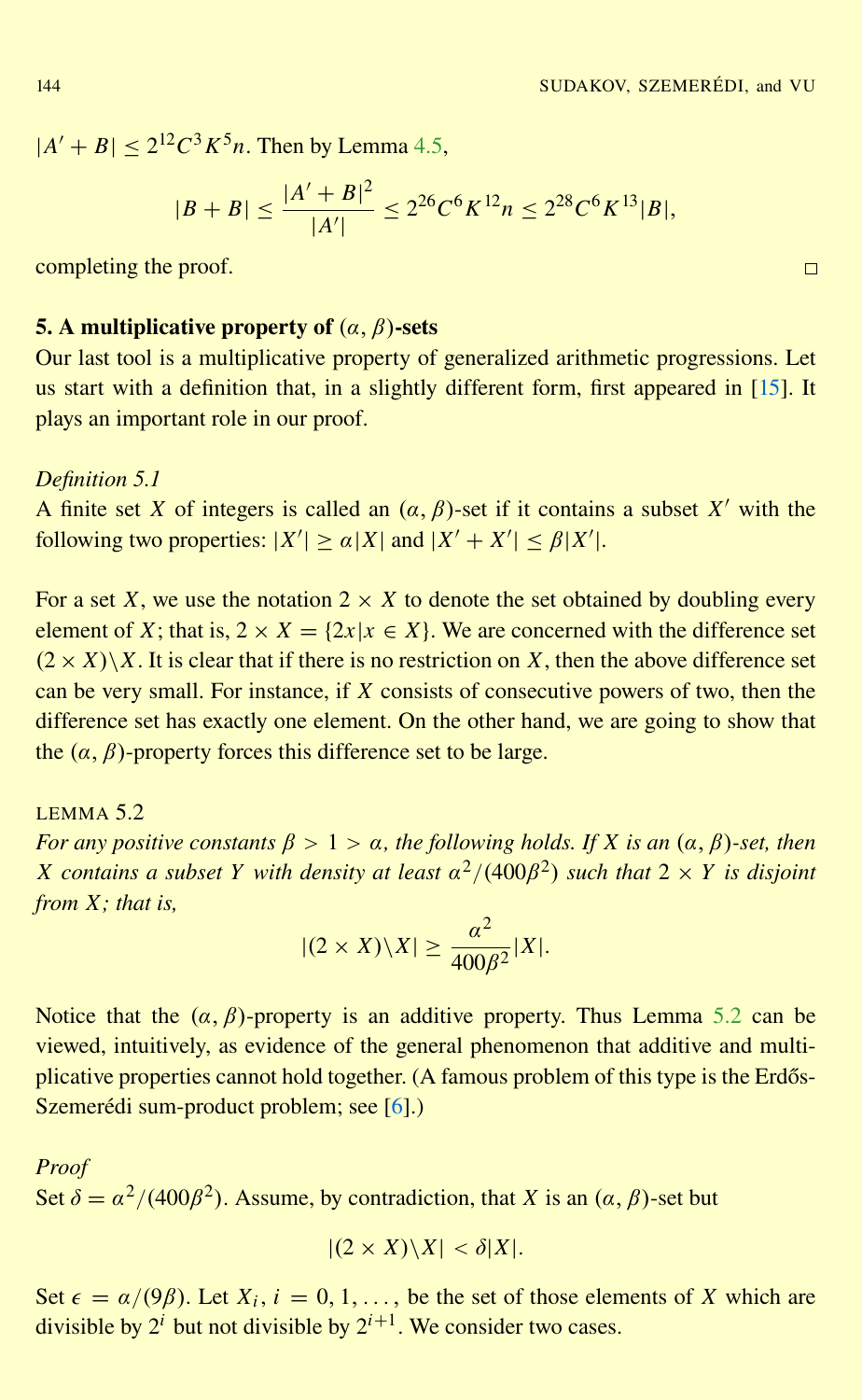<span id="page-15-0"></span> $|A' + B| \leq 2^{12} C^3 K^5 n$ . Then by Lemma [4.5,](#page-14-0)

$$
|B + B| \le \frac{|A' + B|^2}{|A'|} \le 2^{26} C^6 K^{12} n \le 2^{28} C^6 K^{13} |B|,
$$

completing the proof.

# 5. A multiplicative property of  $(\alpha, \beta)$ -sets

Our last tool is a multiplicative property of generalized arithmetic progressions. Let us start with a definition that, in a slightly different form, first appeared in [\[15\]](#page-25-0). It plays an important role in our proof.

#### *Definition 5.1*

A finite set *X* of integers is called an  $(\alpha, \beta)$ -set if it contains a subset *X'* with the following two properties:  $|X'| \ge \alpha |X|$  and  $|X' + X'| \le \beta |X'|$ .

For a set *X*, we use the notation  $2 \times X$  to denote the set obtained by doubling every element of *X*; that is,  $2 \times X = \{2x | x \in X\}$ . We are concerned with the difference set  $(2 \times X)\X$ . It is clear that if there is no restriction on X, then the above difference set can be very small. For instance, if *X* consists of consecutive powers of two, then the difference set has exactly one element. On the other hand, we are going to show that the  $(\alpha, \beta)$ -property forces this difference set to be large.

 $I$  FMMA 5.2 *For any positive constants*  $\beta > 1 > \alpha$ , the following holds. If X is an  $(\alpha, \beta)$ -set, then  $X$  *contains a subset*  $Y$  *with density at least*  $a^2/(400\beta^2)$  *such that*  $2 \times Y$  *is disjoint from X; that is,*

$$
|(2 \times X) \backslash X| \ge \frac{\alpha^2}{400\beta^2} |X|.
$$

Notice that the  $(\alpha, \beta)$ -property is an additive property. Thus Lemma 5.2 can be viewed, intuitively, as evidence of the general phenomenon that additive and multiplicative properties cannot hold together. (A famous problem of this type is the Erdős-Szemerédi sum-product problem; see [[6\]](#page-25-0).)

*Proof* Set  $\delta = \alpha^2/(400\beta^2)$ . Assume, by contradiction, that *X* is an  $(\alpha, \beta)$ -set but

$$
|(2 \times X) \backslash X| < \delta |X|.
$$

Set  $\epsilon = \alpha/(9\beta)$ . Let  $X_i$ ,  $i = 0, 1, \ldots$ , be the set of those elements of *X* which are divisible by  $2^i$  but not divisible by  $2^{i+1}$ . We consider two cases.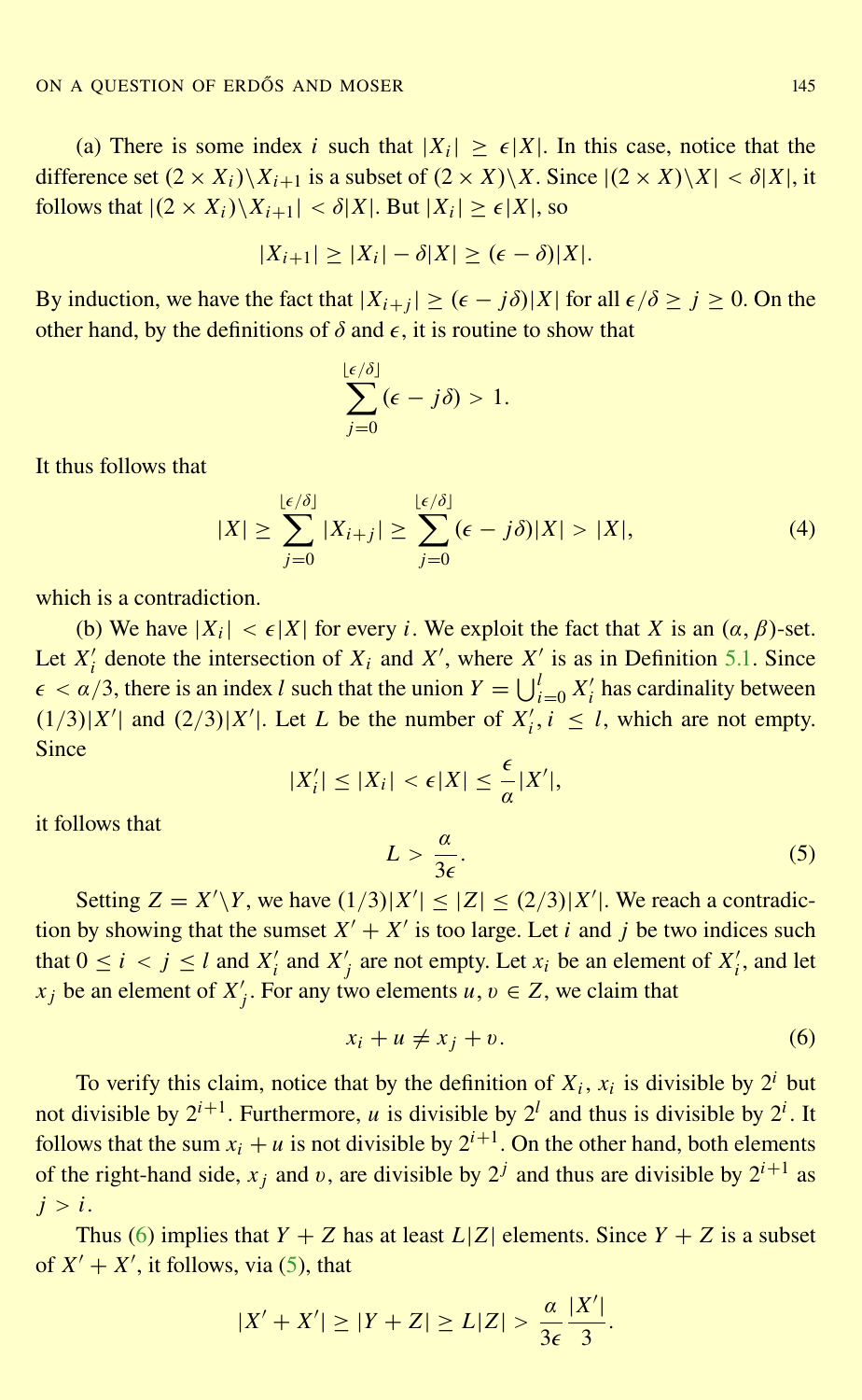(a) There is some index *i* such that  $|X_i| \ge \epsilon |X|$ . In this case, notice that the difference set  $(2 \times X_i)\X_{i+1}$  is a subset of  $(2 \times X)\X$ . Since  $|(2 \times X)\X| < \delta|X|$ , it follows that  $|(2 \times X_i)\setminus X_{i+1}| < \delta |X|$ . But  $|X_i| \geq \epsilon |X|$ , so

$$
|X_{i+1}| \ge |X_i| - \delta |X| \ge (\epsilon - \delta)|X|.
$$

By induction, we have the fact that  $|X_{i+j}| \geq (\epsilon - j\delta)|X|$  for all  $\epsilon/\delta \geq j \geq 0$ . On the other hand, by the definitions of  $\delta$  and  $\epsilon$ , it is routine to show that

$$
\sum_{j=0}^{\lfloor \epsilon/\delta \rfloor} (\epsilon - j\delta) > 1.
$$

It thus follows that

$$
|X| \ge \sum_{j=0}^{\lfloor \epsilon/\delta \rfloor} |X_{i+j}| \ge \sum_{j=0}^{\lfloor \epsilon/\delta \rfloor} (\epsilon - j\delta)|X| > |X|,
$$
 (4)

which is a contradiction.

(b) We have  $|X_i| < \epsilon |X|$  for every *i*. We exploit the fact that *X* is an  $(\alpha, \beta)$ -set. Let  $X_i'$  denote the intersection of  $X_i$  and  $X'$ , where  $X_i'$  is as in Definition [5.1.](#page-15-0) Since  $\epsilon < \alpha/3$ , there is an index *l* such that the union  $Y = \bigcup_{i=0}^{l} X_i'$  has cardinality between  $(1/3)|X'|$  and  $(2/3)|X'|$ . Let *L* be the number of  $X'_i, i \leq l$ , which are not empty. Since

$$
|X'_i| \leq |X_i| < \epsilon |X| \leq \frac{\epsilon}{\alpha} |X'|,
$$

it follows that

 $L > \frac{a}{2}$  $3\epsilon$ .  $(5)$ 

Setting  $Z = X'\Y$ , we have  $(1/3)|X'| \leq |Z| \leq (2/3)|X'|$ . We reach a contradiction by showing that the sumset  $X' + X'$  is too large. Let *i* and *j* be two indices such that  $0 \le i \le j \le l$  and  $X'_i$  and  $X'_j$  are not empty. Let  $x_i$  be an element of  $X'_i$ , and let *x*<sub>j</sub> be an element of *X*<sup>'</sup><sub>j</sub>. For any two elements *u*, *v*  $\in$  *Z*, we claim that

$$
x_i + u \neq x_j + v. \tag{6}
$$

To verify this claim, notice that by the definition of  $X_i$ ,  $x_i$  is divisible by  $2^i$  but not divisible by  $2^{i+1}$ . Furthermore, *u* is divisible by  $2^{l}$  and thus is divisible by  $2^{i}$ . It follows that the sum  $x_i + u$  is not divisible by  $2^{i+1}$ . On the other hand, both elements of the right-hand side,  $x_j$  and v, are divisible by  $2^j$  and thus are divisible by  $2^{i+1}$  as  $j > i$ .

Thus (6) implies that  $Y + Z$  has at least  $L|Z|$  elements. Since  $Y + Z$  is a subset of  $X' + X'$ , it follows, via (5), that

$$
|X' + X'| \ge |Y + Z| \ge L|Z| > \frac{\alpha}{3\epsilon} \frac{|X'|}{3}.
$$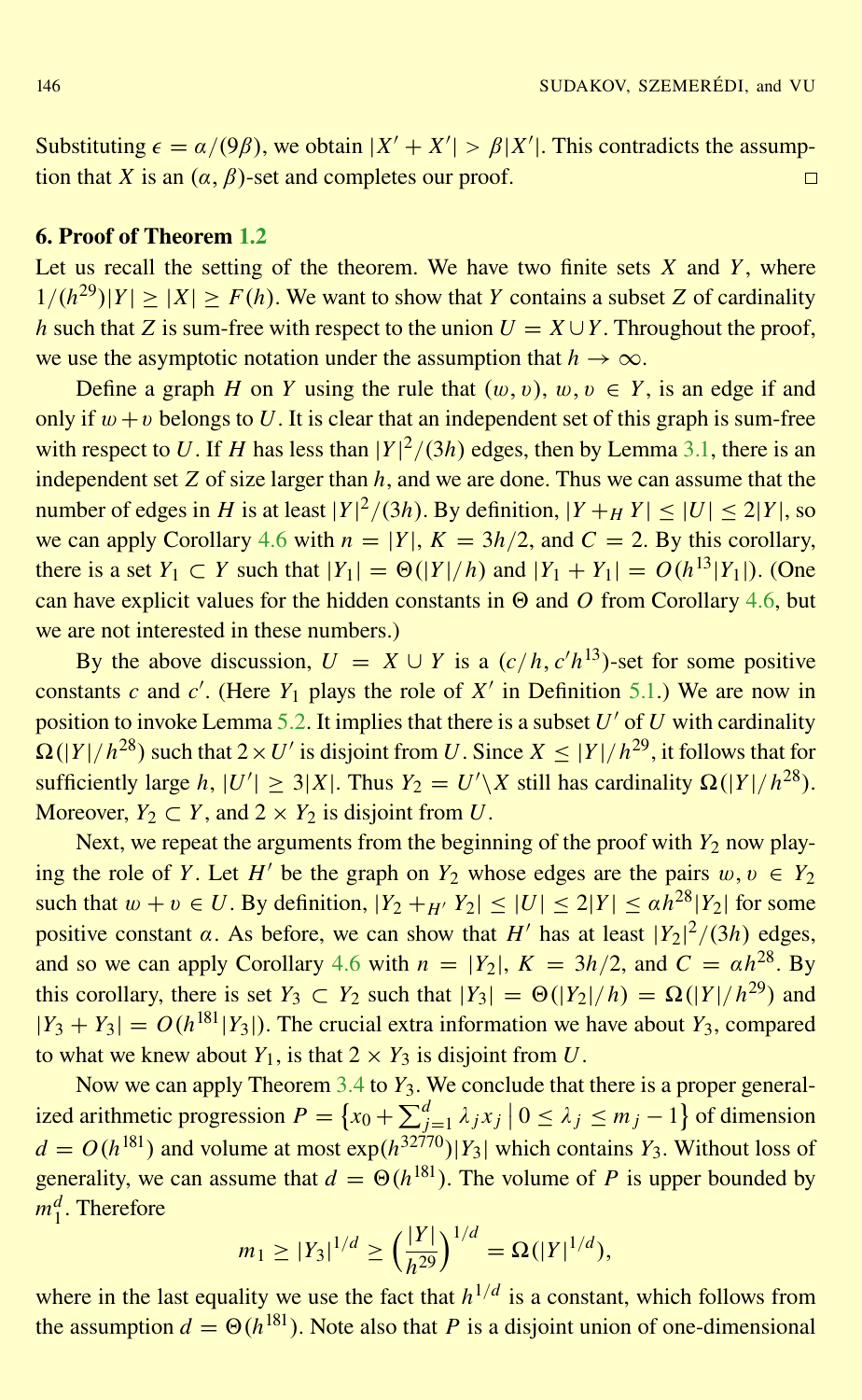Substituting  $\epsilon = \frac{\alpha}{9\beta}$ , we obtain  $|X' + X'| > \frac{\beta}{X'}$ . This contradicts the assumption that *X* is an  $(\alpha, \beta)$ -set and completes our proof.  $\Box$ 

## 6. Proof of Theorem [1.2](#page-2-0)

Let us recall the setting of the theorem. We have two finite sets  $X$  and  $Y$ , where  $1/(h^{29})|Y| \ge |X| \ge F(h)$ . We want to show that *Y* contains a subset *Z* of cardinality *h* such that *Z* is sum-free with respect to the union  $U = X \cup Y$ . Throughout the proof, we use the asymptotic notation under the assumption that  $h \to \infty$ .

Define a graph *H* on *Y* using the rule that  $(w, v)$ ,  $w, v \in Y$ , is an edge if and only if  $w + v$  belongs to U. It is clear that an independent set of this graph is sum-free with respect to U. If H has less than  $|Y|^2/(3h)$  edges, then by Lemma [3.1,](#page-6-0) there is an independent set  $Z$  of size larger than  $h$ , and we are done. Thus we can assume that the number of edges in *H* is at least  $|Y|^2/(3h)$ . By definition,  $|Y+_H Y| \leq |U| \leq 2|Y|$ , so we can apply Corollary [4.6](#page-14-0) with  $n = |Y|$ ,  $K = 3h/2$ , and  $C = 2$ . By this corollary, there is a set *Y*<sub>1</sub> ⊂ *Y* such that  $|Y_1| = \Theta(|Y|/h)$  and  $|Y_1 + Y_1| = O(h^{13}|Y_1|)$ . (One can have explicit values for the hidden constants in  $\Theta$  and  $\overline{O}$  from Corollary [4.6,](#page-14-0) but we are not interested in these numbers.)

By the above discussion,  $U = X \cup Y$  is a  $(c/h, c'h^{13})$ -set for some positive constants *c* and *c*<sup>'</sup>. (Here  $Y_1$  plays the role of  $X'$  in Definition [5.1.](#page-15-0)) We are now in position to invoke Lemma [5.2.](#page-15-0) It implies that there is a subset  $U'$  of  $U$  with cardinality  $\Omega(|Y|/h^{28})$  such that  $2 \times U'$  is disjoint from *U*. Since  $X \leq |Y|/h^{29}$ , it follows that for sufficiently large *h*,  $|U'| \ge 3|X|$ . Thus  $Y_2 = U'\X$  still has cardinality  $\Omega(|Y|/h^{28})$ . Moreover,  $Y_2 \subset Y$ , and  $2 \times Y_2$  is disjoint from *U*.

Next, we repeat the arguments from the beginning of the proof with  $Y_2$  now playing the role of *Y*. Let *H'* be the graph on  $Y_2$  whose edges are the pairs  $w, v \in Y_2$ such that  $w + v \in U$ . By definition,  $|Y_2 + H'Y_2| \leq |U| \leq 2|Y| \leq \alpha h^{28} |Y_2|$  for some positive constant  $\alpha$ . As before, we can show that *H'* has at least  $|Y_2|^2/(3h)$  edges, and so we can apply Corollary [4.6](#page-14-0) with  $n = |Y_2|$ ,  $K = 3h/2$ , and  $C = \alpha h^{28}$ . By this corollary, there is set  $Y_3 \subset Y_2$  such that  $|Y_3| = \Theta(|Y_2|/h) = \Omega(|Y|/h^{29})$  and  $|Y_3 + Y_3| = O(h^{|81|} |Y_3|)$ . The crucial extra information we have about  $Y_3$ , compared to what we knew about  $Y_1$ , is that  $2 \times Y_3$  is disjoint from  $U$ .

Now we can apply Theorem [3.4](#page-8-0) to *Y*<sub>3</sub>. We conclude that there is a proper generalized arithmetic progression  $P = \left\{ x_0 + \sum_{j=1}^d \lambda_j x_j \mid 0 \le \lambda_j \le m_j - 1 \right\}$  of dimension  $d = O(h^{181})$  and volume at most  $exp(h^{32770})|Y_3|$  which contains  $Y_3$ . Without loss of generality, we can assume that  $d = \Theta(h^{181})$ . The volume of *P* is upper bounded by  $m_1^d$ . Therefore

$$
m_1 \ge |Y_3|^{1/d} \ge \left(\frac{|Y|}{h^{29}}\right)^{1/d} = \Omega(|Y|^{1/d}),
$$

where in the last equality we use the fact that  $h^{1/d}$  is a constant, which follows from the assumption  $d = \Theta(h^{\{181\}})$ . Note also that *P* is a disjoint union of one-dimensional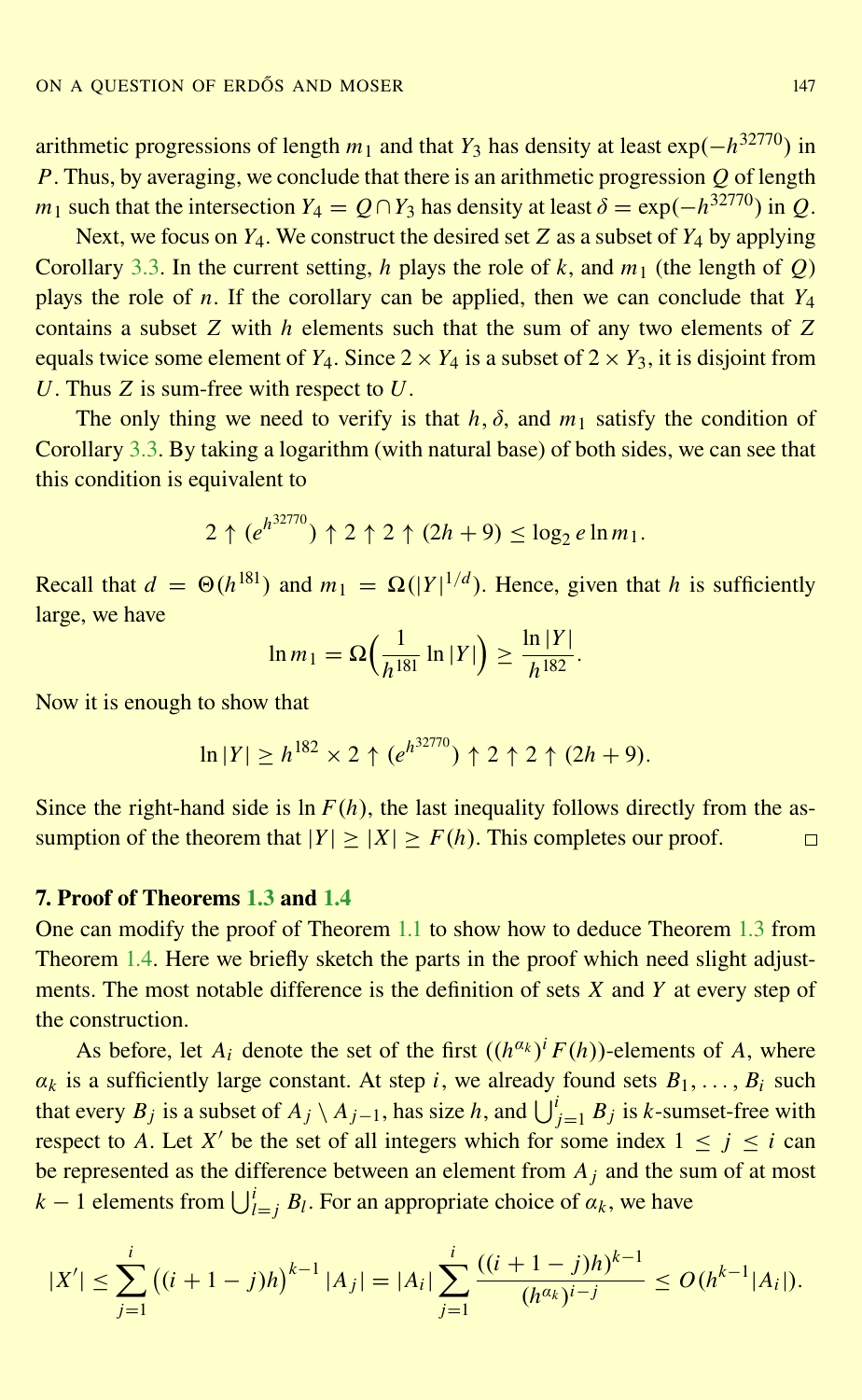arithmetic progressions of length *m*<sup>1</sup> and that *Y*<sup>3</sup> has density at least exp(−*h* <sup>32770</sup>) in *P*. Thus, by averaging, we conclude that there is an arithmetic progression *Q* of length *m*<sub>1</sub> such that the intersection *Y*<sub>4</sub> =  $Q \cap Y_3$  has density at least  $\delta = \exp(-h^{32770})$  in  $Q$ .

Next, we focus on *Y*4. We construct the desired set *Z* as a subset of *Y*<sup>4</sup> by applying Corollary [3.3.](#page-7-0) In the current setting, *h* plays the role of *k*, and  $m_1$  (the length of *Q*) plays the role of *n*. If the corollary can be applied, then we can conclude that *Y*<sup>4</sup> contains a subset *Z* with *h* elements such that the sum of any two elements of *Z* equals twice some element of  $Y_4$ . Since  $2 \times Y_4$  is a subset of  $2 \times Y_3$ , it is disjoint from *U*. Thus *Z* is sum-free with respect to *U*.

The only thing we need to verify is that  $h$ ,  $\delta$ , and  $m_1$  satisfy the condition of Corollary [3.3.](#page-7-0) By taking a logarithm (with natural base) of both sides, we can see that this condition is equivalent to

$$
2 \uparrow (e^{h^{32770}}) \uparrow 2 \uparrow 2 \uparrow (2h+9) \leq \log_2 e \ln m_1.
$$

Recall that  $d = \Theta(h^{181})$  and  $m_1 = \Omega(|Y|^{1/d})$ . Hence, given that *h* is sufficiently large, we have

$$
\ln m_1 = \Omega\left(\frac{1}{h^{181}}\ln|Y|\right) \ge \frac{\ln|Y|}{h^{182}}.
$$

Now it is enough to show that

$$
\ln |Y| \ge h^{182} \times 2 \uparrow (e^{h^{32770}}) \uparrow 2 \uparrow 2 \uparrow (2h+9).
$$

Since the right-hand side is  $\ln F(h)$ , the last inequality follows directly from the assumption of the theorem that  $|Y| \ge |X| \ge F(h)$ . This completes our proof.  $\Box$ 

#### 7. Proof of Theorems [1.3](#page-3-0) and [1.4](#page-3-0)

One can modify the proof of Theorem [1.1](#page-2-0) to show how to deduce Theorem [1.3](#page-3-0) from Theorem [1.4.](#page-3-0) Here we briefly sketch the parts in the proof which need slight adjustments. The most notable difference is the definition of sets *X* and *Y* at every step of the construction.

As before, let  $A_i$  denote the set of the first  $((h^{a_k})^i F(h))$ -elements of  $A$ , where  $\alpha_k$  is a sufficiently large constant. At step *i*, we already found sets  $B_1, \ldots, B_i$  such that every  $B_j$  is a subset of  $A_j \setminus A_{j-1}$ , has size *h*, and  $\bigcup_{j=1}^i B_j$  is *k*-sumset-free with respect to *A*. Let *X'* be the set of all integers which for some index  $1 \le j \le i$  can be represented as the difference between an element from *A<sup>j</sup>* and the sum of at most *k* − 1 elements from  $\bigcup_{l=j}^{i} B_l$ . For an appropriate choice of  $\alpha_k$ , we have

$$
|X'| \leq \sum_{j=1}^{i} ((i+1-j)h)^{k-1} |A_j| = |A_i| \sum_{j=1}^{i} \frac{((i+1-j)h)^{k-1}}{(h^{a_k})^{i-j}} \leq O(h^{k-1}|A_i|).
$$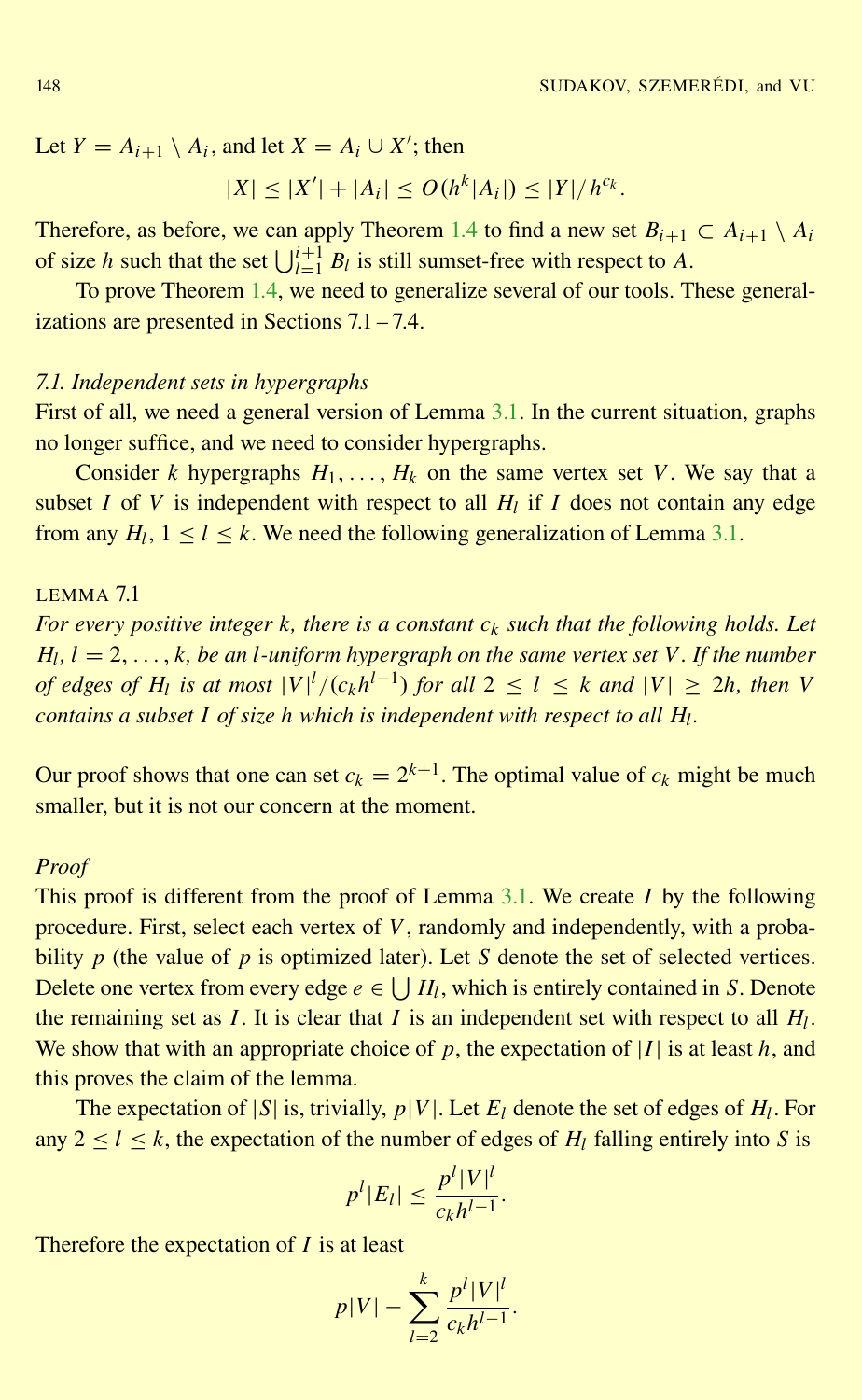<span id="page-19-0"></span>Let  $Y = A_{i+1} \setminus A_i$ , and let  $X = A_i \cup X'$ ; then

$$
|X| \le |X'| + |A_i| \le O(h^k |A_i|) \le |Y|/h^{c_k}.
$$

Therefore, as before, we can apply Theorem [1.4](#page-3-0) to find a new set  $B_{i+1} \subset A_{i+1} \setminus A_i$ of size *h* such that the set  $\bigcup_{l=1}^{i+1} B_l$  is still sumset-free with respect to *A*.

To prove Theorem [1.4,](#page-3-0) we need to generalize several of our tools. These generalizations are presented in Sections 7.1 – 7.4.

## *7.1. Independent sets in hypergraphs*

First of all, we need a general version of Lemma [3.1.](#page-6-0) In the current situation, graphs no longer suffice, and we need to consider hypergraphs.

Consider *k* hypergraphs  $H_1, \ldots, H_k$  on the same vertex set *V*. We say that a subset *I* of *V* is independent with respect to all  $H_l$  if *I* does not contain any edge from any  $H_l$ ,  $1 \le l \le k$ . We need the following generalization of Lemma [3.1.](#page-6-0)

# LEMMA 7.1

*For every positive integer k, there is a constant c<sup>k</sup> such that the following holds. Let Hl , l* = 2, . . . , *k, be an l-uniform hypergraph on the same vertex set V. If the number of edges of H<sub>l</sub>* is at most  $|V|^l/(c_kh^{l-1})$  *for all*  $2 \le l \le k$  *and*  $|V| \ge 2h$ *, then V contains a subset I of size h which is independent with respect to all H<sup>l</sup> .*

Our proof shows that one can set  $c_k = 2^{k+1}$ . The optimal value of  $c_k$  might be much smaller, but it is not our concern at the moment.

#### *Proof*

This proof is different from the proof of Lemma [3.1.](#page-6-0) We create *I* by the following procedure. First, select each vertex of *V*, randomly and independently, with a probability *p* (the value of *p* is optimized later). Let *S* denote the set of selected vertices. Delete one vertex from every edge  $e \in \bigcup H_l$ , which is entirely contained in *S*. Denote the remaining set as *I*. It is clear that *I* is an independent set with respect to all *H<sup>l</sup>* . We show that with an appropriate choice of *p*, the expectation of |*I*| is at least *h*, and this proves the claim of the lemma.

The expectation of  $|S|$  is, trivially,  $p|V|$ . Let  $E_l$  denote the set of edges of  $H_l$ . For any  $2 \le l \le k$ , the expectation of the number of edges of  $H_l$  falling entirely into *S* is

$$
p^l |E_l| \leq \frac{p^l |V|^l}{c_k h^{l-1}}.
$$

Therefore the expectation of *I* is at least

$$
p|V| - \sum_{l=2}^{k} \frac{p^l|V|^l}{c_k h^{l-1}}.
$$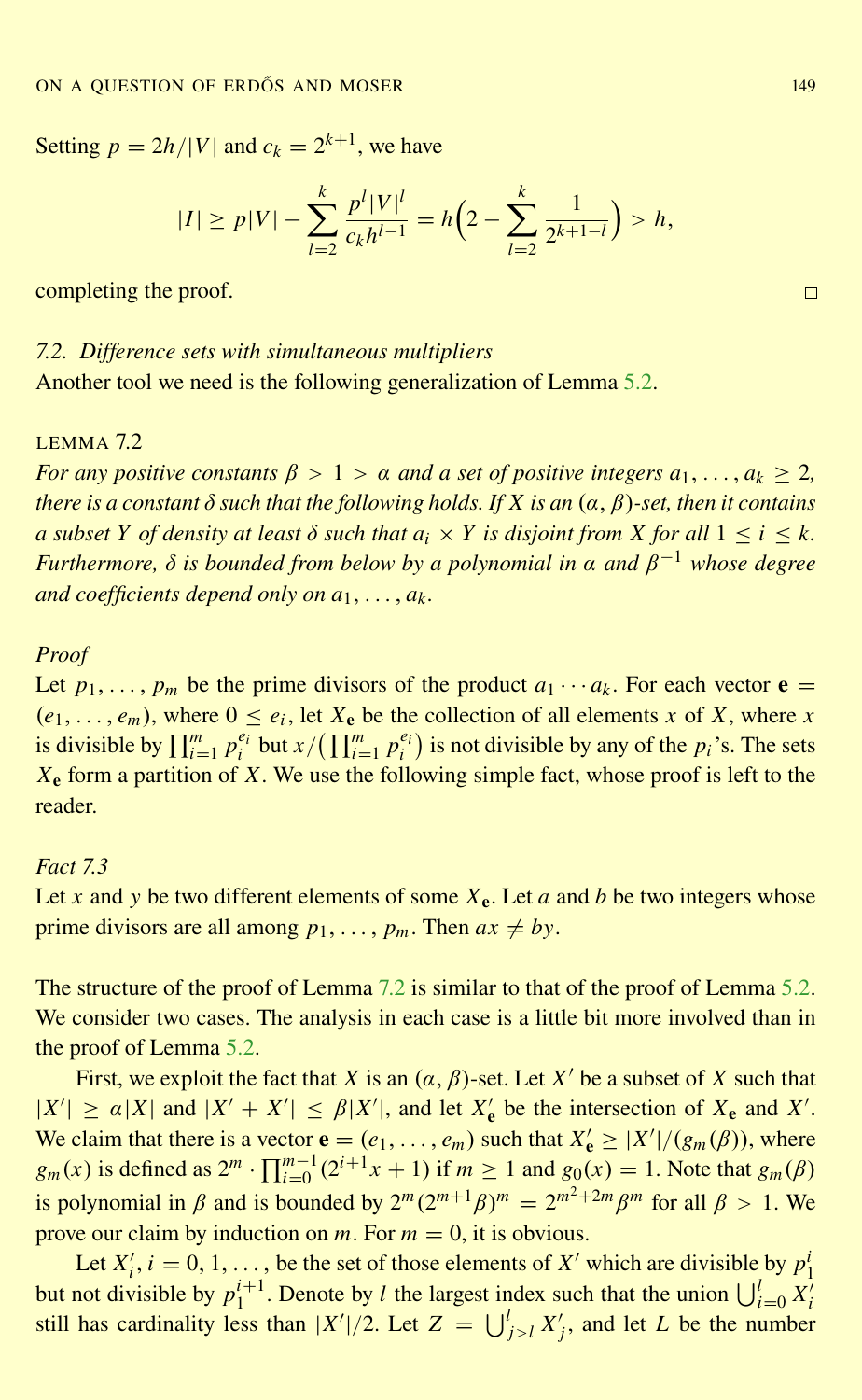<span id="page-20-0"></span>Setting  $p = 2h/|V|$  and  $c_k = 2^{k+1}$ , we have

$$
|I| \ge p|V| - \sum_{l=2}^k \frac{p^l|V|^l}{c_kh^{l-1}} = h\Big(2 - \sum_{l=2}^k \frac{1}{2^{k+1-l}}\Big) > h,
$$

completing the proof.

# *7.2. Difference sets with simultaneous multipliers* Another tool we need is the following generalization of Lemma [5.2.](#page-15-0)

#### LEMMA 7.2

*For any positive constants*  $\beta > 1 > \alpha$  *and a set of positive integers*  $a_1, \ldots, a_k \geq 2$ , *there is a constant*  $\delta$  *such that the following holds. If*  $X$  *is an*  $(\alpha, \beta)$ *-set, then it contains a* subset *Y* of density at least  $\delta$  such that  $a_i \times Y$  is disjoint from *X* for all  $1 \le i \le k$ . *Furthermore,* δ *is bounded from below by a polynomial in* α *and* β <sup>−</sup><sup>1</sup> *whose degree and coefficients depend only on a*1, . . . , *a<sup>k</sup> .*

#### *Proof*

Let  $p_1, \ldots, p_m$  be the prime divisors of the product  $a_1 \cdots a_k$ . For each vector  $e =$  $(e_1, \ldots, e_m)$ , where  $0 \le e_i$ , let  $X_e$  be the collection of all elements *x* of *X*, where *x* is divisible by  $\prod_{i=1}^m p_i^{e_i}$  but  $x/(\prod_{i=1}^m p_i^{e_i})$  is not divisible by any of the  $p_i$ 's. The sets *X*<sup>e</sup> form a partition of *X*. We use the following simple fact, whose proof is left to the reader.

#### *Fact 7.3*

Let *x* and *y* be two different elements of some  $X_e$ . Let *a* and *b* be two integers whose prime divisors are all among  $p_1, \ldots, p_m$ . Then  $ax \neq by$ .

The structure of the proof of Lemma 7.2 is similar to that of the proof of Lemma [5.2.](#page-15-0) We consider two cases. The analysis in each case is a little bit more involved than in the proof of Lemma [5.2.](#page-15-0)

First, we exploit the fact that *X* is an  $(\alpha, \beta)$ -set. Let *X'* be a subset of *X* such that  $|X'| \ge \alpha |X|$  and  $|X' + X'| \le \beta |X'|$ , and let  $X'_e$  be the intersection of  $X_e$  and  $X'$ . We claim that there is a vector  $\mathbf{e} = (e_1, \ldots, e_m)$  such that  $X'_{\mathbf{e}} \geq |X'|/(g_m(\beta))$ , where  $g_m(x)$  is defined as  $2^m \cdot \prod_{i=0}^{m-1} (2^{i+1}x + 1)$  if  $m \ge 1$  and  $g_0(x) = 1$ . Note that  $g_m(\beta)$ is polynomial in  $\beta$  and is bounded by  $2^m (2^{m+1} \beta)^m = 2^{m^2 + 2m} \beta^m$  for all  $\beta > 1$ . We prove our claim by induction on  $m$ . For  $m = 0$ , it is obvious.

Let  $X'_i$ ,  $i = 0, 1, \ldots$ , be the set of those elements of  $X'$  which are divisible by  $p_1^i$ but not divisible by  $p_1^{i+1}$ . Denote by *l* the largest index such that the union  $\bigcup_{i=0}^{l} X_i^i$ still has cardinality less than  $|X'|/2$ . Let  $Z = \bigcup_{j>l}^{l} X'_{j}$ , and let *L* be the number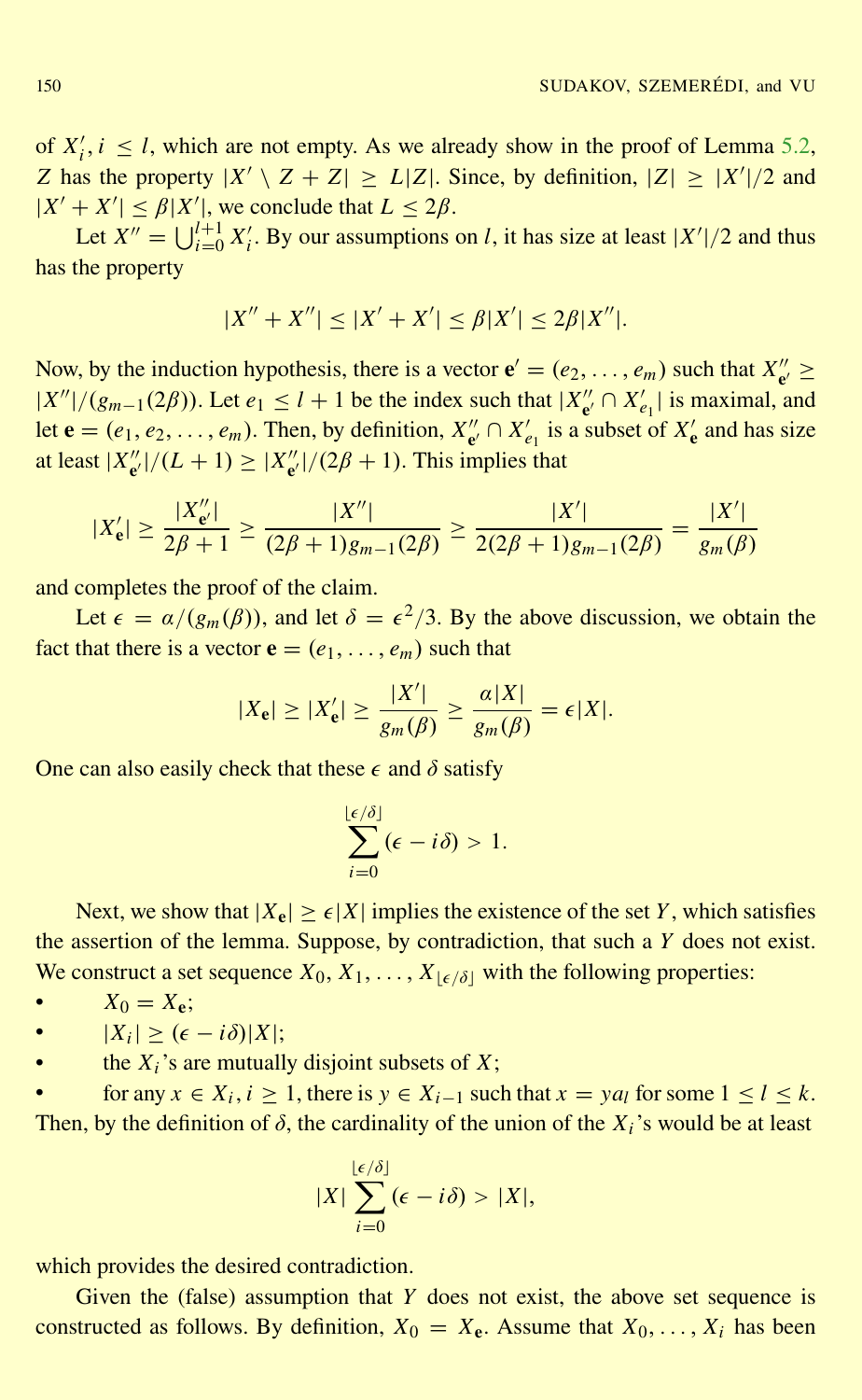of  $X'_i$ ,  $i \leq l$ , which are not empty. As we already show in the proof of Lemma [5.2,](#page-15-0) *Z* has the property  $|X' \setminus Z + Z| \ge L|Z|$ . Since, by definition,  $|Z| \ge |X'|/2$  and  $|X' + X'| \leq \beta |X'|$ , we conclude that  $L \leq 2\beta$ .

Let  $X'' = \bigcup_{i=0}^{l+1} X'_i$ . By our assumptions on *l*, it has size at least  $|X'|/2$  and thus has the property

$$
|X'' + X''| \le |X' + X'| \le \beta |X'| \le 2\beta |X''|.
$$

Now, by the induction hypothesis, there is a vector  $\mathbf{e}' = (e_2, \dots, e_m)$  such that  $X''_{\mathbf{e}}$  $e' \ge$  $|X''|/(g_{m-1}(2\beta))$ . Let  $e_1 \le l+1$  be the index such that  $|X''|$  $C'_{\mathbf{e}'} \cap X'_{e_1}$  is maximal, and let  $\mathbf{e} = (e_1, e_2, \dots, e_m)$ . Then, by definition,  $X''_{\mathbf{e}'}$  $e'' \cap X'_{e_1}$  is a subset of  $X'_{e}$  and has size at least  $|X''_{\mathbf{e}'}\rangle$  $\binom{n}{e'}$   $/(L+1) \geq |X''_{e'}|$  $\binom{n}{e'}$  / (2 $\beta$  + 1). This implies that

$$
|X'_{\mathbf{e}}| \ge \frac{|X''_{\mathbf{e}'}|}{2\beta+1} \ge \frac{|X''|}{(2\beta+1)g_{m-1}(2\beta)} \ge \frac{|X'|}{2(2\beta+1)g_{m-1}(2\beta)} = \frac{|X'|}{g_m(\beta)}
$$

and completes the proof of the claim.

Let  $\epsilon = \alpha/(g_m(\beta))$ , and let  $\delta = \epsilon^2/3$ . By the above discussion, we obtain the fact that there is a vector  $\mathbf{e} = (e_1, \dots, e_m)$  such that

$$
|X_{\mathbf{e}}| \ge |X'_{\mathbf{e}}| \ge \frac{|X'|}{g_m(\beta)} \ge \frac{\alpha |X|}{g_m(\beta)} = \epsilon |X|.
$$

One can also easily check that these  $\epsilon$  and  $\delta$  satisfy

$$
\sum_{i=0}^{\lfloor \epsilon/\delta \rfloor} (\epsilon - i \delta) > 1.
$$

Next, we show that  $|X_e| \ge \epsilon |X|$  implies the existence of the set *Y*, which satisfies the assertion of the lemma. Suppose, by contradiction, that such a *Y* does not exist. We construct a set sequence  $X_0, X_1, \ldots, X_{\lceil \epsilon / \delta \rceil}$  with the following properties:

• 
$$
X_0 = X_e;
$$

- $|X_i| \geq (\epsilon i\delta)|X|;$
- the  $X_i$ 's are mutually disjoint subsets of  $X_i$ ;

• for any  $x \in X_i$ ,  $i \ge 1$ , there is  $y \in X_{i-1}$  such that  $x = ya_l$  for some  $1 \le l \le k$ . Then, by the definition of  $\delta$ , the cardinality of the union of the  $X_i$ 's would be at least

$$
|X|\sum_{i=0}^{\lfloor \epsilon/\delta \rfloor} (\epsilon - i\delta) > |X|,
$$

which provides the desired contradiction.

Given the (false) assumption that *Y* does not exist, the above set sequence is constructed as follows. By definition,  $X_0 = X_e$ . Assume that  $X_0, \ldots, X_i$  has been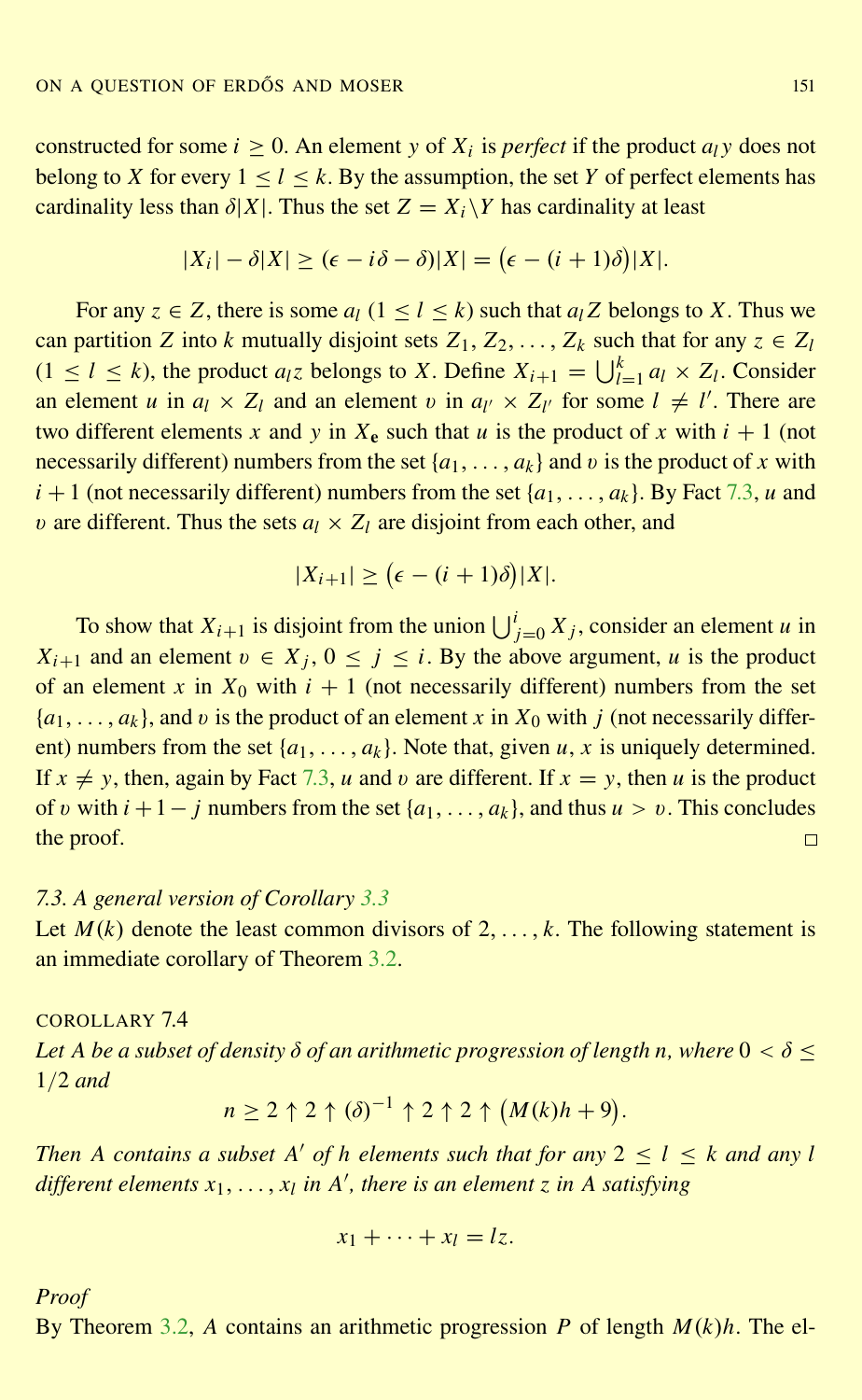<span id="page-22-0"></span>constructed for some  $i \geq 0$ . An element *y* of  $X_i$  is *perfect* if the product  $a_i y$  does not belong to *X* for every  $1 \leq l \leq k$ . By the assumption, the set *Y* of perfect elements has cardinality less than  $\delta |X|$ . Thus the set  $Z = X_i \backslash Y$  has cardinality at least

$$
|X_i| - \delta |X| \ge (\epsilon - i\delta - \delta)|X| = (\epsilon - (i+1)\delta)|X|.
$$

For any  $z \in Z$ , there is some  $a_l$  ( $1 \le l \le k$ ) such that  $a_l Z$  belongs to X. Thus we can partition *Z* into *k* mutually disjoint sets  $Z_1, Z_2, \ldots, Z_k$  such that for any  $z \in Z_l$  $(1 \leq l \leq k)$ , the product  $a_l z$  belongs to *X*. Define  $X_{i+1} = \bigcup_{l=1}^k a_l \times Z_l$ . Consider an element *u* in  $a_l \times Z_l$  and an element *v* in  $a_{l'} \times Z_{l'}$  for some  $l \neq l'$ . There are two different elements x and y in  $X_e$  such that u is the product of x with  $i + 1$  (not necessarily different) numbers from the set  $\{a_1, \ldots, a_k\}$  and v is the product of x with  $i + 1$  (not necessarily different) numbers from the set  $\{a_1, \ldots, a_k\}$ . By Fact [7.3,](#page-20-0) *u* and v are different. Thus the sets  $a_l \times Z_l$  are disjoint from each other, and

$$
|X_{i+1}| \geq (\epsilon - (i+1)\delta)|X|.
$$

To show that  $X_{i+1}$  is disjoint from the union  $\bigcup_{j=0}^{i} X_j$ , consider an element *u* in *X*<sub>*i*+1</sub> and an element  $v \in X_j$ ,  $0 \le j \le i$ . By the above argument, *u* is the product of an element x in  $X_0$  with  $i + 1$  (not necessarily different) numbers from the set  ${a_1, \ldots, a_k}$ , and v is the product of an element x in  $X_0$  with j (not necessarily different) numbers from the set  $\{a_1, \ldots, a_k\}$ . Note that, given *u*, *x* is uniquely determined. If  $x \neq y$ , then, again by Fact [7.3,](#page-20-0) *u* and *v* are different. If  $x = y$ , then *u* is the product of v with  $i + 1 - j$  numbers from the set  $\{a_1, \ldots, a_k\}$ , and thus  $u > v$ . This concludes the proof.  $\Box$ 

#### *7.3. A general version of Corollary [3.3](#page-7-0)*

Let  $M(k)$  denote the least common divisors of  $2, \ldots, k$ . The following statement is an immediate corollary of Theorem [3.2.](#page-7-0)

# COROLLARY 7.4 Let A be a subset of density  $\delta$  of an arithmetic progression of length *n*, where  $0 < \delta$  < 1/2 *and*

$$
n \ge 2 \uparrow 2 \uparrow (\delta)^{-1} \uparrow 2 \uparrow 2 \uparrow (M(k)h + 9).
$$

*Then A contains a subset A' of h elements such that for any*  $2 \le l \le k$  *and any l different elements x*1, . . . , *x<sup>l</sup> in A* 0 *, there is an element z in A satisfying*

$$
x_1+\cdots+x_l=lz.
$$

*Proof*

By Theorem [3.2,](#page-7-0) *A* contains an arithmetic progression *P* of length *M*(*k*)*h*. The el-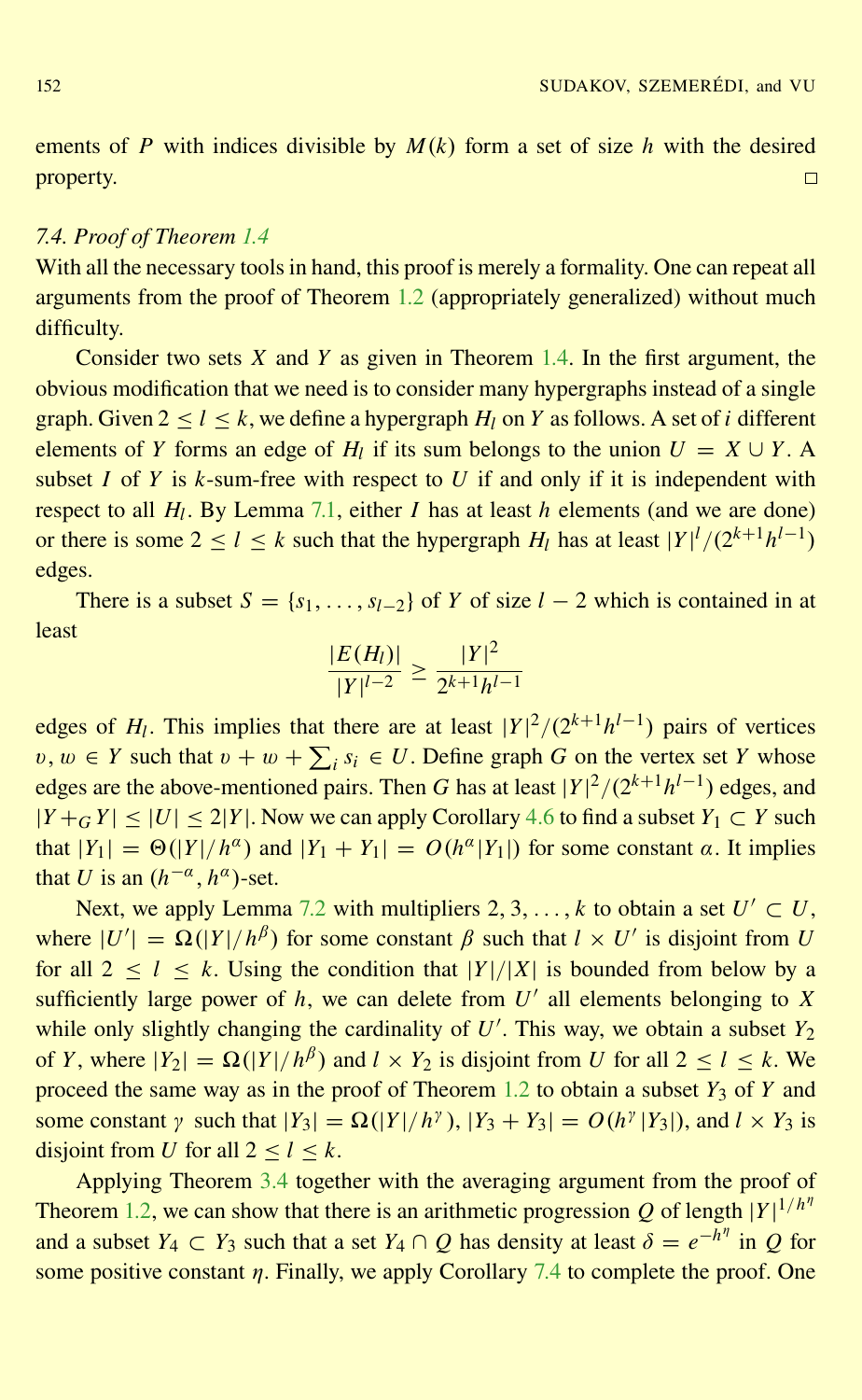ements of *P* with indices divisible by  $M(k)$  form a set of size *h* with the desired property.  $\Box$ 

#### *7.4. Proof of Theorem [1.4](#page-3-0)*

With all the necessary tools in hand, this proof is merely a formality. One can repeat all arguments from the proof of Theorem [1.2](#page-2-0) (appropriately generalized) without much difficulty.

Consider two sets *X* and *Y* as given in Theorem [1.4.](#page-3-0) In the first argument, the obvious modification that we need is to consider many hypergraphs instead of a single graph. Given  $2 < l < k$ , we define a hypergraph  $H_l$  on  $Y$  as follows. A set of *i* different elements of *Y* forms an edge of  $H_l$  if its sum belongs to the union  $U = X \cup Y$ . A subset *I* of *Y* is  $k$ -sum-free with respect to *U* if and only if it is independent with respect to all *H<sup>l</sup>* . By Lemma [7.1,](#page-19-0) either *I* has at least *h* elements (and we are done) or there is some  $2 \le l \le k$  such that the hypergraph  $H_l$  has at least  $|Y|^l/(2^{k+1}h^{l-1})$ edges.

There is a subset  $S = \{s_1, \ldots, s_{l-2}\}\$  of *Y* of size  $l - 2$  which is contained in at least

$$
\frac{|E(H_l)|}{|Y|^{l-2}} \ge \frac{|Y|^2}{2^{k+1}h^{l-1}}
$$

edges of  $H_l$ . This implies that there are at least  $|Y|^2/(2^{k+1}h^{l-1})$  pairs of vertices *v*, *w* ∈ *Y* such that *v* + *w* +  $\sum_i s_i$  ∈ *U*. Define graph *G* on the vertex set *Y* whose edges are the above-mentioned pairs. Then *G* has at least  $|Y|^2/(2^{k+1}h^{l-1})$  edges, and  $|Y + G| \leq |U| \leq 2|Y|$ . Now we can apply Corollary [4.6](#page-14-0) to find a subset  $Y_1 \subset Y$  such that  $|Y_1| = \Theta(|Y|/h^{\alpha})$  and  $|Y_1 + Y_1| = O(h^{\alpha}|Y_1|)$  for some constant  $\alpha$ . It implies that *U* is an  $(h^{-\alpha}, h^{\alpha})$ -set.

Next, we apply Lemma [7.2](#page-20-0) with multipliers  $2, 3, ..., k$  to obtain a set  $U' \subset U$ , where  $|U'| = \Omega(|Y|/h^{\beta})$  for some constant  $\beta$  such that  $l \times U'$  is disjoint from *U* for all  $2 \le l \le k$ . Using the condition that  $|Y|/|X|$  is bounded from below by a sufficiently large power of  $h$ , we can delete from  $U'$  all elements belonging to  $X$ while only slightly changing the cardinality of  $U'$ . This way, we obtain a subset  $Y_2$ of *Y*, where  $|Y_2| = \Omega(|Y|/h^{\beta})$  and  $l \times Y_2$  is disjoint from *U* for all  $2 \le l \le k$ . We proceed the same way as in the proof of Theorem [1.2](#page-2-0) to obtain a subset  $Y_3$  of  $Y$  and some constant  $\gamma$  such that  $|Y_3| = \Omega(|Y|/h^{\gamma})$ ,  $|Y_3 + Y_3| = O(h^{\gamma}|Y_3|)$ , and  $l \times Y_3$  is disjoint from *U* for all  $2 \le l \le k$ .

Applying Theorem [3.4](#page-8-0) together with the averaging argument from the proof of Theorem [1.2,](#page-2-0) we can show that there is an arithmetic progression Q of length  $|Y|^{1/h^n}$ and a subset  $Y_4 \subset Y_3$  such that a set  $Y_4 \cap Q$  has density at least  $\delta = e^{-h^{\eta}}$  in  $Q$  for some positive constant  $\eta$ . Finally, we apply Corollary [7.4](#page-22-0) to complete the proof. One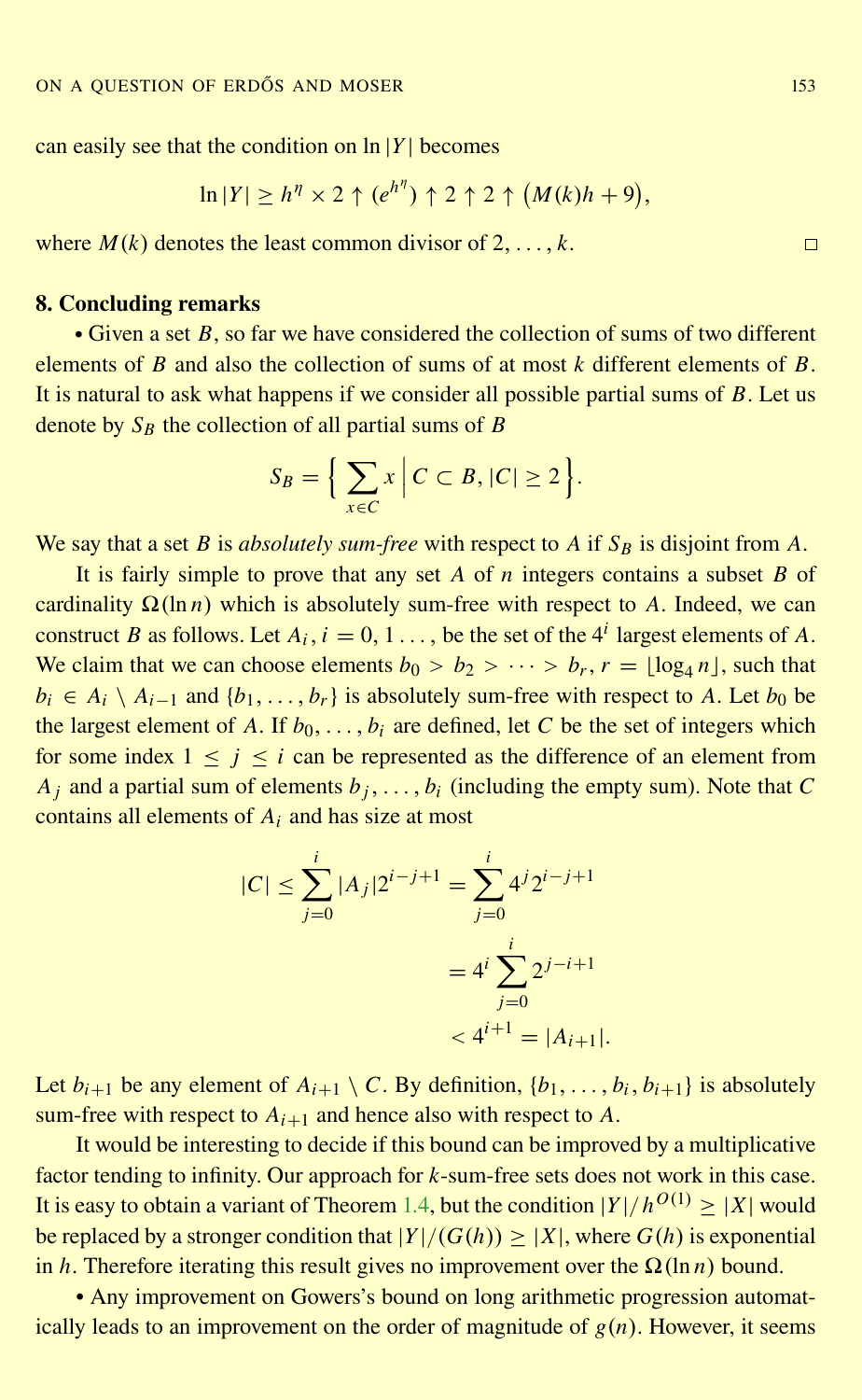can easily see that the condition on  $\ln |Y|$  becomes

$$
\ln|Y| \ge h^{\eta} \times 2 \uparrow (e^{h^{\eta}}) \uparrow 2 \uparrow 2 \uparrow (M(k)h + 9),
$$

where  $M(k)$  denotes the least common divisor of  $2, \ldots, k$ .

# 8. Concluding remarks

• Given a set *B*, so far we have considered the collection of sums of two different elements of *B* and also the collection of sums of at most *k* different elements of *B*. It is natural to ask what happens if we consider all possible partial sums of *B*. Let us denote by  $S_B$  the collection of all partial sums of *B* 

$$
S_B = \Big\{ \sum_{x \in C} x \Big| C \subset B, |C| \ge 2 \Big\}.
$$

We say that a set *B* is *absolutely sum-free* with respect to *A* if *S<sup>B</sup>* is disjoint from *A*.

It is fairly simple to prove that any set *A* of *n* integers contains a subset *B* of cardinality  $\Omega(\ln n)$  which is absolutely sum-free with respect to *A*. Indeed, we can construct *B* as follows. Let  $A_i$ ,  $i = 0, 1, \ldots$ , be the set of the 4<sup>*i*</sup> largest elements of *A*. We claim that we can choose elements  $b_0 > b_2 > \cdots > b_r$ ,  $r = \lfloor \log_4 n \rfloor$ , such that  $b_i \in A_i \setminus A_{i-1}$  and  $\{b_1, \ldots, b_r\}$  is absolutely sum-free with respect to *A*. Let  $b_0$  be the largest element of *A*. If  $b_0, \ldots, b_i$  are defined, let *C* be the set of integers which for some index  $1 \le i \le i$  can be represented as the difference of an element from  $A_i$  and a partial sum of elements  $b_i$ , ...,  $b_i$  (including the empty sum). Note that *C* contains all elements of *A<sup>i</sup>* and has size at most

$$
|C| \le \sum_{j=0}^{i} |A_j| 2^{i-j+1} = \sum_{j=0}^{i} 4^j 2^{i-j+1}
$$

$$
= 4^i \sum_{j=0}^{i} 2^{j-i+1}
$$

$$
< 4^{i+1} = |A_{i+1}|.
$$

Let  $b_{i+1}$  be any element of  $A_{i+1} \setminus C$ . By definition,  $\{b_1, \ldots, b_i, b_{i+1}\}$  is absolutely sum-free with respect to  $A_{i+1}$  and hence also with respect to  $A$ .

It would be interesting to decide if this bound can be improved by a multiplicative factor tending to infinity. Our approach for *k*-sum-free sets does not work in this case. It is easy to obtain a variant of Theorem [1.4,](#page-3-0) but the condition  $|Y|/h^{O(1)} \geq |X|$  would be replaced by a stronger condition that  $|Y|/(G(h)) > |X|$ , where  $G(h)$  is exponential in *h*. Therefore iterating this result gives no improvement over the  $\Omega(\ln n)$  bound.

• Any improvement on Gowers's bound on long arithmetic progression automatically leads to an improvement on the order of magnitude of  $g(n)$ . However, it seems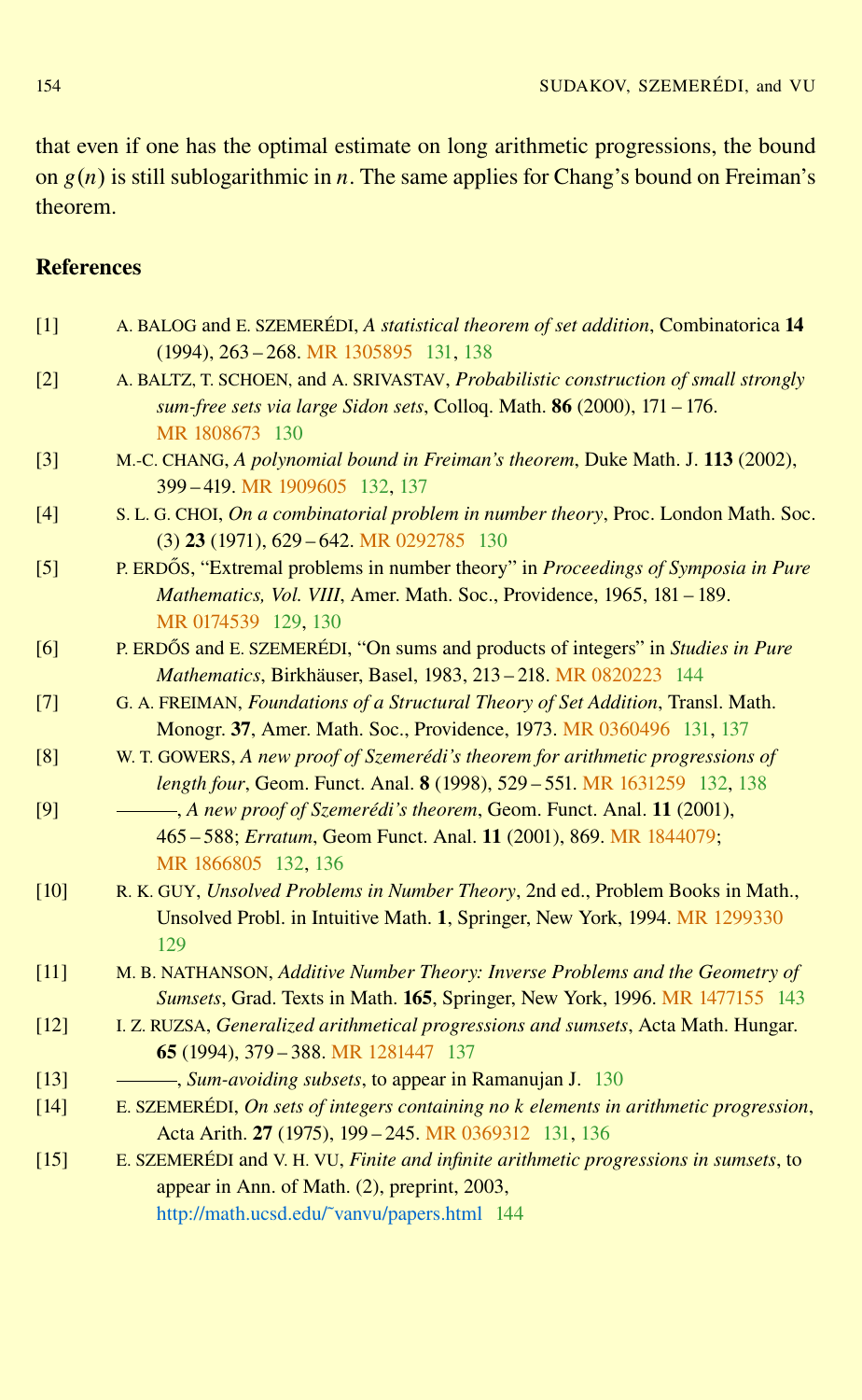<span id="page-25-0"></span>that even if one has the optimal estimate on long arithmetic progressions, the bound on  $g(n)$  is still sublogarithmic in *n*. The same applies for Chang's bound on Freiman's theorem.

# References

| $[1]$  | A. BALOG and E. SZEMERÉDI, A statistical theorem of set addition, Combinatorica 14<br>$(1994), 263 - 268$ . MR 1305895 131, 138                                                                                                               |
|--------|-----------------------------------------------------------------------------------------------------------------------------------------------------------------------------------------------------------------------------------------------|
| $[2]$  | A. BALTZ, T. SCHOEN, and A. SRIVASTAV, Probabilistic construction of small strongly<br>sum-free sets via large Sidon sets, Colloq. Math. 86 (2000), 171 - 176.<br>MR 1808673 130                                                              |
| $[3]$  | M.-C. CHANG, A polynomial bound in Freiman's theorem, Duke Math. J. 113 (2002),<br>399-419. MR 1909605 132, 137                                                                                                                               |
| [4]    | S. L. G. CHOI, On a combinatorial problem in number theory, Proc. London Math. Soc.<br>$(3)$ 23 (1971), 629 – 642. MR 0292785 130                                                                                                             |
| $[5]$  | P. ERDŐS, "Extremal problems in number theory" in Proceedings of Symposia in Pure<br>Mathematics, Vol. VIII, Amer. Math. Soc., Providence, 1965, 181 - 189.<br>MR 0174539 129, 130                                                            |
| [6]    | P. ERDŐS and E. SZEMERÉDI, "On sums and products of integers" in <i>Studies in Pure</i><br>Mathematics, Birkhäuser, Basel, 1983, 213 - 218. MR 0820223 144                                                                                    |
| $[7]$  | G. A. FREIMAN, Foundations of a Structural Theory of Set Addition, Transl. Math.<br>Monogr. 37, Amer. Math. Soc., Providence, 1973. MR 0360496 131, 137                                                                                       |
| [8]    | W. T. GOWERS, A new proof of Szemerédi's theorem for arithmetic progressions of<br>length four, Geom. Funct. Anal. 8 (1998), 529 - 551. MR 1631259 132, 138                                                                                   |
| [9]    | - A new proof of Szemerédi's theorem, Geom. Funct. Anal. 11 (2001),<br>465 - 588; Erratum, Geom Funct. Anal. 11 (2001), 869. MR 1844079;<br>MR 1866805 132, 136                                                                               |
| [10]   | R. K. GUY, Unsolved Problems in Number Theory, 2nd ed., Problem Books in Math.,<br>Unsolved Probl. in Intuitive Math. 1, Springer, New York, 1994. MR 1299330<br>129                                                                          |
| $[11]$ | M. B. NATHANSON, Additive Number Theory: Inverse Problems and the Geometry of<br>Sumsets, Grad. Texts in Math. 165, Springer, New York, 1996. MR 1477155 143                                                                                  |
| $[12]$ | I. Z. RUZSA, Generalized arithmetical progressions and sumsets, Acta Math. Hungar.<br>65 (1994), 379 - 388. MR 1281447 137                                                                                                                    |
| $[13]$ | <i><u>Sum-avoiding subsets, to appear in Ramanujan J. 130</u></i>                                                                                                                                                                             |
| $[14]$ | E. SZEMERÉDI, On sets of integers containing no k elements in arithmetic progression,                                                                                                                                                         |
| $[15]$ | Acta Arith. 27 (1975), 199 - 245. MR 0369312 131, 136<br>E. SZEMERÉDI and V. H. VU, Finite and infinite arithmetic progressions in sumsets, to<br>appear in Ann. of Math. (2), preprint, 2003,<br>http://math.ucsd.edu/~vanvu/papers.html 144 |
|        |                                                                                                                                                                                                                                               |